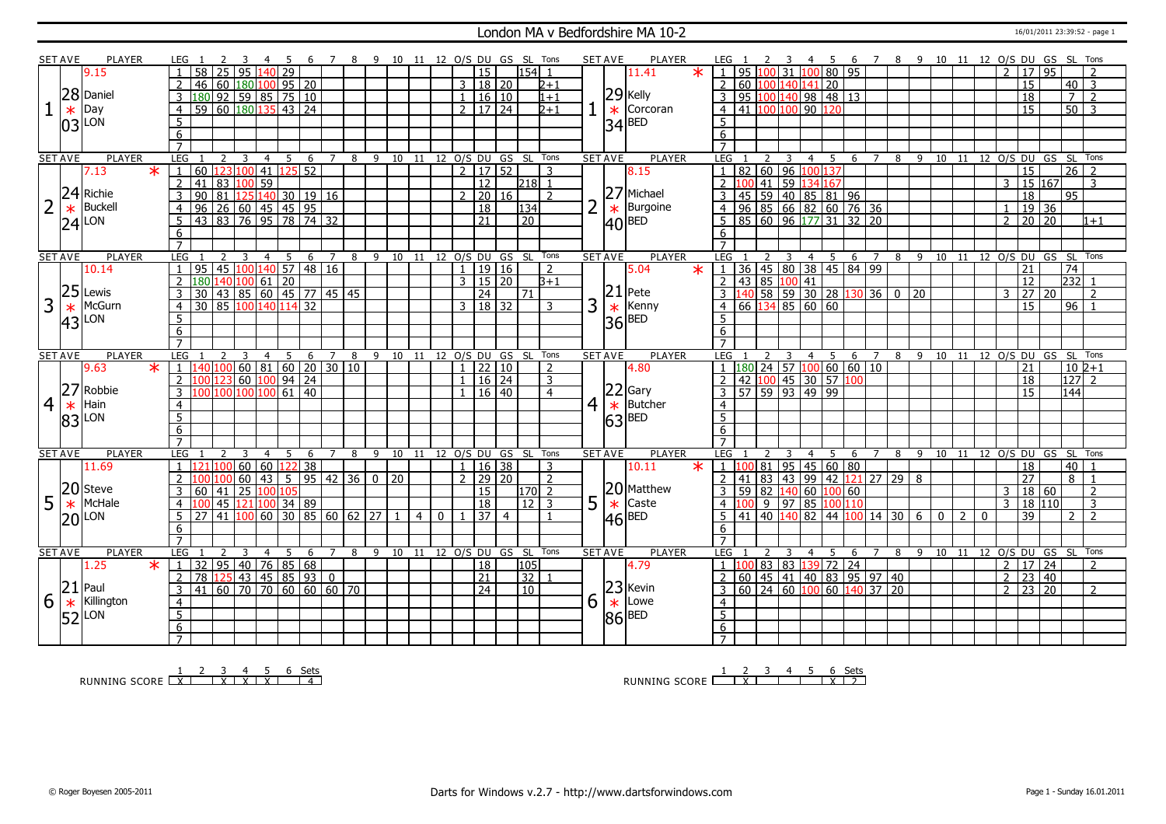### London MA v Bedfordshire MA 10-2 16/01/2011 23:39:52 - page 1

|   | SET AVE        | PLAYER         |         | LEG                               |                                                                               |                 | -4                                            |             |                     | $\overline{7}$ |                     |                | 8 9 10 11 12 O/S DU GS SL Tons |                            |                         |               |                     |                |                 |                |   | SET AVE                       | PLAYER                                   |        | LEG                                                                                                                                                           |           |          |                          |                |                                       | -6                                                 | 7 8 9 10 11 12 O/S DU GS SL |                 |                                |   |                       |                 |                 |                 |                  | Tons                     |
|---|----------------|----------------|---------|-----------------------------------|-------------------------------------------------------------------------------|-----------------|-----------------------------------------------|-------------|---------------------|----------------|---------------------|----------------|--------------------------------|----------------------------|-------------------------|---------------|---------------------|----------------|-----------------|----------------|---|-------------------------------|------------------------------------------|--------|---------------------------------------------------------------------------------------------------------------------------------------------------------------|-----------|----------|--------------------------|----------------|---------------------------------------|----------------------------------------------------|-----------------------------|-----------------|--------------------------------|---|-----------------------|-----------------|-----------------|-----------------|------------------|--------------------------|
|   |                | 9.15           |         |                                   | $\overline{58}$<br>25                                                         | 95              | 40                                            | 29          |                     |                |                     |                |                                |                            |                         |               | $\overline{15}$     |                | 154 1           |                |   |                               | 11.41                                    |        | $\overline{1}$                                                                                                                                                | 95        | $100$ 31 |                          |                | 100 80 95                             |                                                    |                             |                 |                                |   |                       | $\mathcal{P}$   | 17              | 95              |                  |                          |
|   |                |                |         | 2                                 | 46                                                                            |                 | 60 180 100 95 20                              |             |                     |                |                     |                |                                |                            |                         |               | 3   18   20         |                |                 | 2+1            |   |                               |                                          |        | 2 60 100 140 141                                                                                                                                              |           |          |                          |                | 20                                    |                                                    |                             |                 |                                |   |                       |                 | 15              |                 | 40               | -3                       |
|   | 28             | Daniel         |         | $\overline{3}$                    | 180 92 59 85 75 10                                                            |                 |                                               |             |                     |                |                     |                |                                |                            |                         | $\mathbf{1}$  | 16 10               |                |                 | $1+1$          |   |                               |                                          |        | $\overline{3}$                                                                                                                                                |           |          |                          |                | $\frac{195}{100}$ 140 98 48 13        |                                                    |                             |                 |                                |   |                       |                 | 18              |                 | $\overline{7}$   | $\overline{2}$           |
|   |                | Day            |         |                                   | $\frac{1}{180}$ $\frac{1}{180}$ $\frac{1}{135}$ $\frac{1}{43}$ $\frac{1}{24}$ |                 |                                               |             |                     |                |                     |                |                                |                            |                         |               | 2   17   24         |                |                 |                |   |                               | $29$ Kelly<br>$\ast$ Corco<br>Corcoran   |        | 4 41 100 100 90 120                                                                                                                                           |           |          |                          |                |                                       |                                                    |                             |                 |                                |   |                       |                 | $\overline{15}$ |                 | $50$ 3           |                          |
|   | $\ast$         |                |         | $\overline{4}$                    |                                                                               |                 |                                               |             |                     |                |                     |                |                                |                            |                         |               |                     |                |                 | $2+1$          |   |                               |                                          |        |                                                                                                                                                               |           |          |                          |                |                                       |                                                    |                             |                 |                                |   |                       |                 |                 |                 |                  |                          |
|   | 03             | LON            |         | $\overline{5}$                    |                                                                               |                 |                                               |             |                     |                |                     |                |                                |                            |                         |               |                     |                |                 |                |   | 34                            | <b>BED</b>                               |        | $\overline{5}$                                                                                                                                                |           |          |                          |                |                                       |                                                    |                             |                 |                                |   |                       |                 |                 |                 |                  |                          |
|   |                |                |         | 6                                 |                                                                               |                 |                                               |             |                     |                |                     |                |                                |                            |                         |               |                     |                |                 |                |   |                               |                                          |        | 6                                                                                                                                                             |           |          |                          |                |                                       |                                                    |                             |                 |                                |   |                       |                 |                 |                 |                  |                          |
|   |                |                |         |                                   |                                                                               |                 |                                               |             |                     |                |                     |                |                                |                            |                         |               |                     |                |                 |                |   |                               |                                          |        |                                                                                                                                                               |           |          |                          |                |                                       |                                                    |                             |                 |                                |   |                       |                 |                 |                 |                  |                          |
|   | <b>SET AVE</b> | <b>PLAYER</b>  |         | <b>LEG</b>                        |                                                                               | 2               | $\overline{3}$<br>$\overline{4}$              | 5           | 6                   |                | $\overline{7}$<br>8 |                | 9 10 11 12 O/S DU GS SL Tons   |                            |                         |               |                     |                |                 |                |   | <b>SET AVE</b>                | <b>PLAYER</b>                            |        | LEG                                                                                                                                                           |           | 2        | $\overline{3}$           | $\overline{4}$ | $-5$                                  | 6<br>$\overline{7}$                                |                             |                 | 8 9 10 11 12 0/S DU GS SL Tons |   |                       |                 |                 |                 |                  |                          |
|   |                | 7.13           | $\ast$  | $\mathbf{1}$                      | $60 \vert 123 \vert 100 \vert 41$                                             |                 |                                               |             | $125\overline{)52}$ |                |                     |                |                                |                            |                         | $\mathcal{P}$ | $17 \overline{)52}$ |                |                 | $\overline{3}$ |   |                               | 8.15                                     |        | $\overline{1}$                                                                                                                                                |           |          | 82 60 96 100 137         |                |                                       |                                                    |                             |                 |                                |   |                       |                 | 15              |                 | $\overline{26}$  | $\overline{z}$           |
|   |                |                |         | $\overline{2}$                    | 41                                                                            |                 | 83 100 59                                     |             |                     |                |                     |                |                                |                            |                         |               | $\overline{12}$     |                | 218 1           |                |   |                               |                                          |        |                                                                                                                                                               |           | 41       | 59 134 167               |                |                                       |                                                    |                             |                 |                                |   |                       | 3               |                 | 15 167          |                  | 3                        |
|   | 24             | Richie         |         | $\overline{3}$                    |                                                                               |                 |                                               |             |                     |                |                     |                |                                |                            |                         |               | $2 \mid 20 \mid 16$ |                |                 | $\overline{2}$ |   | 27                            | Michael                                  |        |                                                                                                                                                               |           |          |                          |                |                                       |                                                    |                             |                 |                                |   |                       |                 | $\overline{18}$ |                 | 95               |                          |
|   | $\ast$         | <b>Buckell</b> |         | $\overline{4}$                    |                                                                               |                 |                                               |             |                     |                |                     |                |                                |                            |                         |               | $\overline{18}$     |                | 134             |                |   |                               | <b>Burgoine</b>                          |        |                                                                                                                                                               |           |          |                          |                |                                       |                                                    |                             |                 |                                |   |                       | $\mathbf{1}$    |                 | $\boxed{19}$ 36 |                  |                          |
|   | 24             | LON            |         | 5                                 | 190 81 125 140 30 19 16<br>96 26 60 45 45 95<br>43 83 76 95 78 74 32          |                 |                                               |             |                     |                |                     |                |                                |                            |                         |               | 21                  |                | $\overline{20}$ |                |   | $\overline{40}$               | <b>BED</b>                               |        | $\begin{array}{r} 2 & 45 & 59 & 40 & 85 & 81 & 96 \\ \hline 4 & 96 & 85 & 66 & 82 & 60 & 76 & 36 \\ \hline 5 & 85 & 60 & 96 & 177 & 31 & 32 & 20 \end{array}$ |           |          |                          |                |                                       |                                                    |                             |                 |                                |   |                       | $\mathcal{P}$   |                 | 20 20           |                  | $1+1$                    |
|   |                |                |         | 6                                 |                                                                               |                 |                                               |             |                     |                |                     |                |                                |                            |                         |               |                     |                |                 |                |   |                               |                                          |        | 6                                                                                                                                                             |           |          |                          |                |                                       |                                                    |                             |                 |                                |   |                       |                 |                 |                 |                  |                          |
|   |                |                |         | $\overline{7}$                    |                                                                               |                 |                                               |             |                     |                |                     |                |                                |                            |                         |               |                     |                |                 |                |   |                               |                                          |        | $\overline{7}$                                                                                                                                                |           |          |                          |                |                                       |                                                    |                             |                 |                                |   |                       |                 |                 |                 |                  |                          |
|   | <b>SET AVE</b> | <b>PLAYER</b>  |         | <b>LEG</b>                        |                                                                               | ्र              | $\overline{4}$                                | - 5         | - 6                 |                | 8<br>7              |                | 9 10 11                        |                            | 12 O/S DU GS SL         |               |                     |                |                 | Tons           |   | <b>SET AVE</b>                | <b>PLAYER</b>                            |        | LEG                                                                                                                                                           |           |          | -3                       | 4 5            | - 6                                   | $\overline{7}$                                     |                             |                 | 8 9 10 11 12 O/S DU GS SL      |   |                       |                 |                 |                 |                  | Tons                     |
|   |                | 10.14          |         | $\overline{1}$                    | 95 45 100 140 57 48 16                                                        |                 |                                               |             |                     |                |                     |                |                                |                            |                         |               | 1   19   16         |                |                 | 2              |   |                               | 5.04                                     | $\ast$ | $1 \overline{)36 \overline{)45 \overline{)80 \overline{)38 \overline{0}}}$ 45 84 99                                                                           |           |          |                          |                |                                       |                                                    |                             |                 |                                |   |                       |                 | 21              |                 | 74               |                          |
|   |                |                |         | $\overline{z}$                    | 180 h                                                                         |                 |                                               |             |                     |                |                     |                |                                |                            |                         |               | $\frac{1}{3}$ 15 20 |                |                 | B+1            |   |                               |                                          |        | 2   43   85   100   41                                                                                                                                        |           |          |                          |                |                                       |                                                    |                             |                 |                                |   |                       |                 | 12              |                 | $\overline{232}$ |                          |
|   | 25             | Lewis          |         | 3                                 | 30                                                                            |                 | $\frac{140 100 61 20}{ 43 85 60 45 77 45 45}$ |             |                     |                |                     |                |                                |                            |                         |               | $\overline{24}$     |                | 71              |                |   | 21                            | Pete                                     |        |                                                                                                                                                               |           |          |                          |                |                                       | $\frac{1}{3}$ $\frac{1}{140}$ 58 59 30 28 130 36 0 |                             | $\overline{20}$ |                                |   |                       | 3               | 27              | 20              |                  | $\overline{2}$           |
| 3 |                | McGurn         |         |                                   | 30 85 100 140 114 32                                                          |                 |                                               |             |                     |                |                     |                |                                |                            |                         |               | 3   18   32         |                |                 | $\overline{3}$ | 3 |                               | Kenny                                    |        | $\overline{4}$                                                                                                                                                |           |          | $\sqrt{66}$ 134 85 60 60 |                |                                       |                                                    |                             |                 |                                |   |                       |                 | 15              |                 | 96               |                          |
|   | $\ast$         |                |         | $\overline{4}$                    |                                                                               |                 |                                               |             |                     |                |                     |                |                                |                            |                         |               |                     |                |                 |                |   | $\ast$                        |                                          |        |                                                                                                                                                               |           |          |                          |                |                                       |                                                    |                             |                 |                                |   |                       |                 |                 |                 |                  |                          |
|   | 43             | _ON            |         | $5\overline{)}$                   |                                                                               |                 |                                               |             |                     |                |                     |                |                                |                            |                         |               |                     |                |                 |                |   | 36                            | <b>BED</b>                               |        | 5                                                                                                                                                             |           |          |                          |                |                                       |                                                    |                             |                 |                                |   |                       |                 |                 |                 |                  |                          |
|   |                |                |         | 6                                 |                                                                               |                 |                                               |             |                     |                |                     |                |                                |                            |                         |               |                     |                |                 |                |   |                               |                                          |        | 6                                                                                                                                                             |           |          |                          |                |                                       |                                                    |                             |                 |                                |   |                       |                 |                 |                 |                  |                          |
|   |                |                |         | $\overline{7}$                    |                                                                               |                 |                                               |             |                     |                |                     |                |                                |                            |                         |               |                     |                |                 |                |   |                               |                                          |        | $\overline{7}$                                                                                                                                                |           |          |                          |                |                                       |                                                    |                             |                 |                                |   |                       |                 |                 |                 |                  |                          |
|   |                |                |         |                                   |                                                                               |                 |                                               |             |                     |                |                     |                |                                |                            |                         |               |                     |                |                 |                |   |                               |                                          |        |                                                                                                                                                               |           |          |                          |                |                                       |                                                    |                             |                 |                                |   |                       |                 |                 |                 |                  |                          |
|   | <b>SET AVE</b> | <b>PLAYER</b>  |         | <b>LEG</b>                        |                                                                               | 3               | 4                                             | 5           | 6                   |                | 8<br>7              | 9              | 10                             | 11                         |                         |               | 12 O/S DU           |                | GS SL Tons      |                |   | <b>SET AVE</b>                | <b>PLAYER</b>                            |        | <b>LEG</b>                                                                                                                                                    |           |          |                          | 4              | 5                                     | $\overline{7}$<br>6                                |                             | 89              | 10 11 12 O/S DU GS             |   |                       |                 |                 |                 | SL.              | Tons                     |
|   |                | 9.63           | $\ast$  | $\overline{1}$                    | 40 100 60 81 60 20 30 10                                                      |                 |                                               |             |                     |                |                     |                |                                |                            |                         |               | $1 \ 22 \ 10$       |                |                 | $\overline{2}$ |   |                               | 4.80                                     |        | $1 \left  180 \right  24 \left  57 \right  100 \left  60 \right  60 \left  10 \right $                                                                        |           |          |                          |                |                                       |                                                    |                             |                 |                                |   |                       |                 | 21              |                 | $10 2+1$         |                          |
|   |                |                |         | $\overline{2}$                    | 100 123                                                                       |                 | $60$ 100 94 24                                |             |                     |                |                     |                |                                |                            |                         | $\mathbf{1}$  | 16 24               |                |                 | $\overline{3}$ |   |                               |                                          |        | $\overline{2}$                                                                                                                                                |           |          |                          |                |                                       |                                                    |                             |                 |                                |   |                       |                 | 18              |                 | $127$ 2          |                          |
|   | 27             | Robbie         |         | 3                                 | 00 100 100 100 61                                                             |                 |                                               |             | $ 40\rangle$        |                |                     |                |                                |                            |                         |               | 16 40               |                |                 | $\overline{4}$ |   |                               | $ 22 $ Gary                              |        | $\overline{3}$                                                                                                                                                |           |          |                          |                | 42 100 45 30 57 100<br>57 59 93 49 99 |                                                    |                             |                 |                                |   |                       |                 | 15              |                 | 144              |                          |
| 4 | $\ast$         | Hain           |         | $\overline{4}$                    |                                                                               |                 |                                               |             |                     |                |                     |                |                                |                            |                         |               |                     |                |                 |                | 4 | $\ast$                        | Butcher                                  |        | $\overline{4}$                                                                                                                                                |           |          |                          |                |                                       |                                                    |                             |                 |                                |   |                       |                 |                 |                 |                  |                          |
|   |                | LON            |         | $\overline{5}$                    |                                                                               |                 |                                               |             |                     |                |                     |                |                                |                            |                         |               |                     |                |                 |                |   |                               | <b>BED</b>                               |        | $\overline{5}$                                                                                                                                                |           |          |                          |                |                                       |                                                    |                             |                 |                                |   |                       |                 |                 |                 |                  |                          |
|   | 83             |                |         | 6                                 |                                                                               |                 |                                               |             |                     |                |                     |                |                                |                            |                         |               |                     |                |                 |                |   | 63                            |                                          |        | 6                                                                                                                                                             |           |          |                          |                |                                       |                                                    |                             |                 |                                |   |                       |                 |                 |                 |                  |                          |
|   |                |                |         | $\overline{7}$                    |                                                                               |                 |                                               |             |                     |                |                     |                |                                |                            |                         |               |                     |                |                 |                |   |                               |                                          |        | $\overline{7}$                                                                                                                                                |           |          |                          |                |                                       |                                                    |                             |                 |                                |   |                       |                 |                 |                 |                  |                          |
|   | <b>SET AVE</b> | <b>PLAYER</b>  |         | <b>LEG</b>                        |                                                                               | 3               | $\overline{4}$                                | -5          | 6                   |                | $\overline{7}$<br>8 | 9              |                                | 10 11 12 O/S DU GS SL Tons |                         |               |                     |                |                 |                |   | <b>SET AVE</b>                | <b>PLAYER</b>                            |        | <b>LEG</b>                                                                                                                                                    |           |          |                          | $\overline{4}$ | -5<br>6                               | $\overline{7}$                                     | 8                           | - 9             |                                |   | 10 11 12 0/S DU GS SL |                 |                 |                 |                  | Tons                     |
|   |                | 11.69          |         |                                   | 1 121 100                                                                     |                 | 60   60   122   38                            |             |                     |                |                     |                |                                |                            |                         |               | 1 16 38             |                |                 | 3              |   |                               | 10.11                                    | $\ast$ | $1 \overline{100}$                                                                                                                                            |           |          |                          |                | 81 95 45 60 80                        |                                                    |                             |                 |                                |   |                       |                 | 18              |                 | 40               |                          |
|   |                |                |         |                                   |                                                                               | 60              | 43                                            | 5           |                     | $95 \mid 42$   | 36                  |                | $0$ 20                         |                            |                         |               | 2   29   20         |                |                 | $\overline{2}$ |   |                               |                                          |        | $2 \mid 41$                                                                                                                                                   |           | 83       | 43 <sup>1</sup>          |                |                                       | 99 42 121 27 29                                    |                             | 8               |                                |   |                       |                 | 27              |                 | 8                | $\overline{\phantom{0}}$ |
|   | 20             | <b>Steve</b>   |         | 3                                 | 60 41                                                                         | $\overline{25}$ |                                               | 100 105     |                     |                |                     |                |                                |                            |                         |               | $\overline{15}$     |                | $170$   2       |                |   |                               | Matthew                                  |        | $\overline{3}$                                                                                                                                                |           |          |                          |                | $59$ 82 140 60 100 60                 |                                                    |                             |                 |                                |   |                       | 3               |                 | 18 60           |                  | $\overline{2}$           |
|   |                | McHale         |         | $\overline{4}$                    | 45                                                                            |                 | 121                                           |             |                     |                |                     |                |                                |                            |                         |               | 18                  |                | $12 \mid 3$     |                |   |                               | Caste                                    |        | $\overline{4}$                                                                                                                                                |           | 9        | 9785                     |                | 100 110                               |                                                    |                             |                 |                                |   |                       | 3               |                 | 18 110          |                  | $\overline{3}$           |
| 5 | $\ast$         |                |         |                                   | $\overline{41}$<br>27                                                         |                 | 100                                           | $100$ 34 89 |                     |                |                     |                |                                | $\overline{4}$             | $\mathbf{0}$            |               | $\overline{37}$     | $\overline{4}$ |                 | $\overline{1}$ | 5 | $\left  \frac{20}{*} \right $ |                                          |        | 5                                                                                                                                                             | 41 40 140 |          |                          |                |                                       |                                                    |                             |                 |                                | 2 | $\mathbf{0}$          |                 |                 |                 | $\overline{2}$   | $\overline{2}$           |
|   | 20             | <b>ILON</b>    |         | 5                                 |                                                                               |                 | 60                                            |             |                     |                |                     | 30 85 60 62 27 | $\cdot$ 1                      |                            |                         |               |                     |                |                 |                |   | 46                            | <b>BED</b>                               |        |                                                                                                                                                               |           |          |                          |                |                                       | $82$ 44 100 14 30 6                                |                             |                 | $\overline{0}$                 |   |                       |                 | 39              |                 |                  |                          |
|   |                |                |         | 6<br>$\overline{7}$               |                                                                               |                 |                                               |             |                     |                |                     |                |                                |                            |                         |               |                     |                |                 |                |   |                               |                                          |        | 6<br>$\overline{7}$                                                                                                                                           |           |          |                          |                |                                       |                                                    |                             |                 |                                |   |                       |                 |                 |                 |                  |                          |
|   |                |                |         |                                   |                                                                               | $\overline{2}$  |                                               |             |                     |                |                     |                |                                |                            |                         |               |                     |                |                 |                |   |                               |                                          |        |                                                                                                                                                               |           |          |                          |                |                                       | 7                                                  |                             |                 |                                |   |                       |                 |                 |                 |                  |                          |
|   | <b>SET AVE</b> | PLAYER         |         | <b>LEG</b>                        |                                                                               | 3               | $\overline{4}$                                | -5          | 6                   |                | $7^{\circ}$<br>8    | 9              | 10                             |                            | 11 12 O/S DU GS SL Tons |               |                     |                |                 |                |   | <b>SET AVE</b>                | <b>PLAYER</b>                            |        | LEG<br>$1 \, 100$                                                                                                                                             |           |          |                          | 4              | 5                                     | 6                                                  | - 8                         |                 | 9 10 11                        |   |                       | 12 O/S DU GS SL |                 |                 |                  | Tons<br>$\mathcal{L}$    |
|   |                | 1.25           | $\star$ | $\mathbf{1}$                      | 32                                                                            |                 | 95 40 76 85 68                                |             |                     |                |                     |                |                                |                            |                         |               | 18                  |                | 105             |                |   |                               | 4.79                                     |        |                                                                                                                                                               |           |          |                          |                | 83 83 139 72 24                       |                                                    |                             |                 |                                |   |                       | $\overline{2}$  | 17              | 24              |                  |                          |
|   |                |                |         | 2                                 |                                                                               |                 |                                               |             |                     |                |                     |                |                                |                            |                         |               | $\overline{21}$     |                | 32              |                |   |                               |                                          |        | 2                                                                                                                                                             |           |          |                          |                |                                       | 60 45 41 40 83 95 97 40                            |                             |                 |                                |   |                       | $\overline{2}$  | $\overline{23}$ | 40              |                  |                          |
|   | 21             | Paul           |         | $\overline{3}$                    | 78 125 43 45 85 93 0<br>41 60 70 70 60 60 60 70                               |                 |                                               |             |                     |                |                     |                |                                |                            |                         |               | $\overline{24}$     |                | $\overline{10}$ |                |   |                               |                                          |        |                                                                                                                                                               |           |          |                          |                |                                       | $3   60   24   60   100   60   140   37   20$      |                             |                 |                                |   |                       | $\overline{2}$  |                 | 23 20           |                  | $\overline{2}$           |
| 6 | $\ast$         | Killington     |         | $\overline{4}$                    |                                                                               |                 |                                               |             |                     |                |                     |                |                                |                            |                         |               |                     |                |                 |                | 6 |                               |                                          |        | $\overline{4}$                                                                                                                                                |           |          |                          |                |                                       |                                                    |                             |                 |                                |   |                       |                 |                 |                 |                  |                          |
|   | 52             | LON            |         | $\overline{5}$                    |                                                                               |                 |                                               |             |                     |                |                     |                |                                |                            |                         |               |                     |                |                 |                |   |                               |                                          |        | $\overline{5}$                                                                                                                                                |           |          |                          |                |                                       |                                                    |                             |                 |                                |   |                       |                 |                 |                 |                  |                          |
|   |                |                |         | $6\overline{6}$<br>$\overline{7}$ |                                                                               |                 |                                               |             |                     |                |                     |                |                                |                            |                         |               |                     |                |                 |                |   |                               | $\frac{23}{\text{*}}$ Kevin<br>86<br>BED |        | 6<br>$7^{\circ}$                                                                                                                                              |           |          |                          |                |                                       |                                                    |                             |                 |                                |   |                       |                 |                 |                 |                  |                          |

RUNNING SCORE <u>| X | X | X | X | X | 4</u><br>RUNNING SCORE <u>| X | X | X | X | X | 4</u>

RUNNING SCORE 1 2 X 3 4 5 6 X Sets 2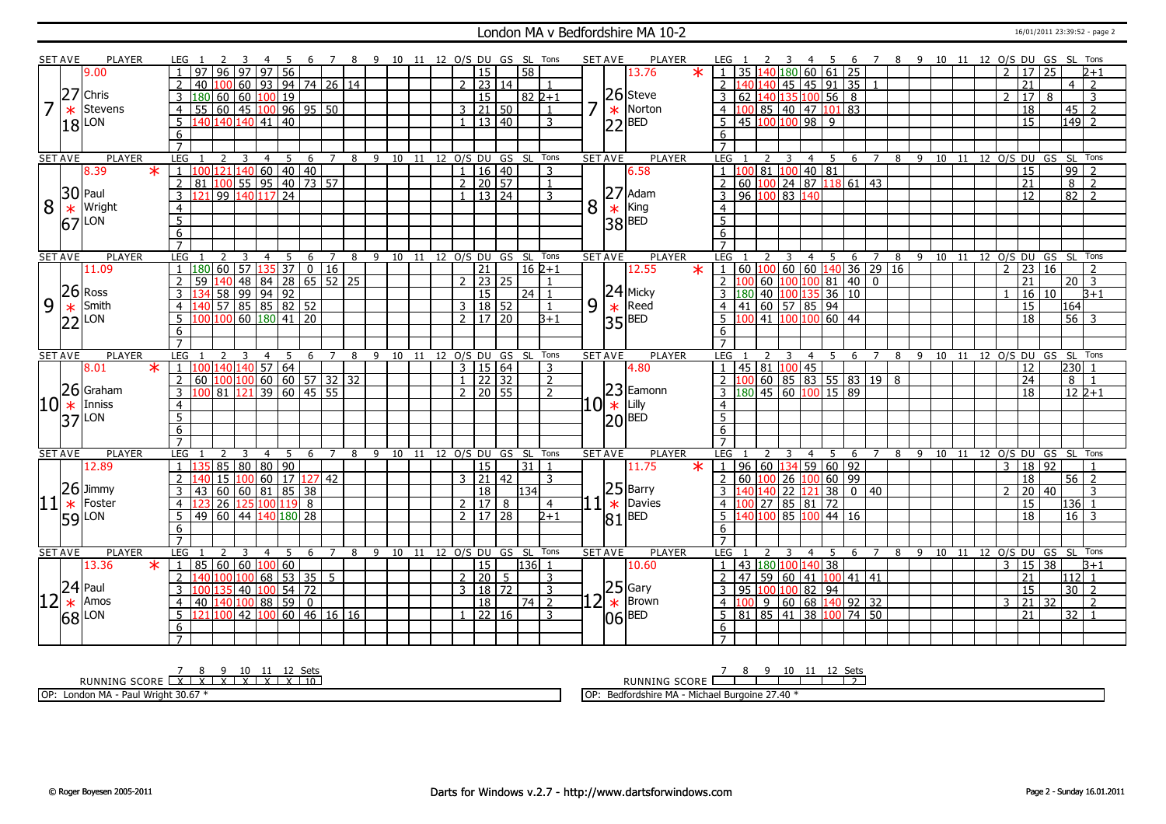#### London MA v Bedfordshire MA 10-2 16/01/2011 23:39:52 - page 2

|    | <b>SET AVE</b>  | <b>PLAYER</b>       | LEG.                  | -4                                                                            |                                   | 7               | 8 9 10 11 12 0/S DU GS SL Tons |                 |  |                                 |              |                 |                |     | <b>SET AVE</b>                                 | PLAYER        | LEG                 |                      |                 |                 | -4             | - 5<br>- 6              |                                                                                           |   |              |  |                |                         |                 | 7 8 9 10 11 12 O/S DU GS SL Tons  |                |
|----|-----------------|---------------------|-----------------------|-------------------------------------------------------------------------------|-----------------------------------|-----------------|--------------------------------|-----------------|--|---------------------------------|--------------|-----------------|----------------|-----|------------------------------------------------|---------------|---------------------|----------------------|-----------------|-----------------|----------------|-------------------------|-------------------------------------------------------------------------------------------|---|--------------|--|----------------|-------------------------|-----------------|-----------------------------------|----------------|
|    |                 | 9.00                | 97<br>$\overline{1}$  | $\overline{97}$<br>$\overline{97}$<br>96                                      | $\overline{56}$                   |                 |                                |                 |  | 15                              |              | $\overline{58}$ |                |     | 13.76                                          | $\ast$        | $\overline{1}$      | 35 1                 |                 |                 |                | $-40 180 $ 60   61   25 |                                                                                           |   |              |  | $\mathcal{L}$  | 17                      | 25              | b+1                               |                |
|    |                 |                     | $\overline{2}$<br>40  | 60<br>100                                                                     | $93$ 94 74 26 14                  |                 |                                |                 |  | $2 \mid 23 \mid 14$             |              |                 |                |     |                                                |               | $\mathcal{L}$       |                      | 40              | 45              |                | $\boxed{45}$ 91 35      |                                                                                           |   |              |  |                | 21                      |                 | $\overline{z}$<br>$\overline{4}$  |                |
|    | 27              | Chris               | $\overline{3}$<br>180 | 60 60 100 19                                                                  |                                   |                 |                                |                 |  | 15                              |              | 82 2+1          |                |     | $26$ Steve                                     |               |                     | 62                   |                 |                 |                | 40 135 100 56 8         |                                                                                           |   |              |  | $\mathcal{L}$  | 17                      | 8               |                                   | 3              |
| 7  |                 | Stevens             | $\overline{4}$        | 55 60 45 100 96 95 50                                                         |                                   |                 |                                |                 |  | $3$ 21 50                       |              |                 |                |     | Norton                                         |               | 4                   | 100 L                |                 |                 |                | 85 40 47 101 83         |                                                                                           |   |              |  |                | 18                      |                 | 45<br>$\overline{z}$              |                |
|    | $\ast$          |                     |                       |                                                                               | $\overline{40}$                   |                 |                                |                 |  | $1 \overline{13} \overline{40}$ |              |                 |                |     | $\ast$                                         |               |                     | 45 100 100 98        |                 |                 |                |                         |                                                                                           |   |              |  |                |                         |                 | $\overline{2}$                    |                |
|    | 18              | LON                 | 5                     | 40 140 140 41                                                                 |                                   |                 |                                |                 |  |                                 |              |                 | 3              |     | $ 22 ^{BED}$                                   |               |                     |                      |                 |                 |                | 9                       |                                                                                           |   |              |  |                | 15                      |                 | $\overline{149}$                  |                |
|    |                 |                     | 6                     |                                                                               |                                   |                 |                                |                 |  |                                 |              |                 |                |     |                                                |               | 6                   |                      |                 |                 |                |                         |                                                                                           |   |              |  |                |                         |                 |                                   |                |
|    |                 |                     | $\overline{7}$        |                                                                               |                                   |                 |                                |                 |  |                                 |              |                 |                |     |                                                |               |                     |                      |                 |                 |                |                         |                                                                                           |   |              |  |                |                         |                 |                                   |                |
|    | <b>SET AVE</b>  | <b>PLAYER</b>       | LEG                   | 3<br>$\overline{4}$                                                           | 5<br>6                            | $\overline{7}$  | 8 9 10 11 12 O/S DU GS SL Tons |                 |  |                                 |              |                 |                |     | <b>SET AVE</b>                                 | <b>PLAYER</b> | LEG                 |                      |                 | 3               | $\overline{4}$ | $\overline{5}$          | 6 7                                                                                       |   |              |  |                |                         |                 | 8 9 10 11 12 O/S DU GS SL Tons    |                |
|    |                 | $\ast$<br>8.39      |                       | 121 140 60 40 40<br>100 55 95 40 73 57                                        |                                   |                 |                                |                 |  |                                 | $16 \mid 40$ |                 | 3              |     | 6.58                                           |               |                     |                      | 81              | 10 <sub>0</sub> | 40 81          |                         |                                                                                           |   |              |  |                | 15                      |                 | 99<br>$\overline{z}$              |                |
|    |                 |                     | $\overline{2}$<br> 81 |                                                                               |                                   |                 |                                |                 |  | $2 \ 20 \ 57$                   |              |                 | $\overline{1}$ |     |                                                |               |                     |                      |                 |                 |                |                         | 60 100 24 87 118 61 43                                                                    |   |              |  |                | $\overline{21}$         |                 | 8<br>2                            |                |
|    |                 | $30$ Paul           | $\overline{3}$<br>121 | 99 140 117 24                                                                 |                                   |                 |                                |                 |  | $1 \mid 13 \mid 24$             |              |                 | 3              |     | 27<br>Adam                                     |               | 3                   | 96 100 83 140        |                 |                 |                |                         |                                                                                           |   |              |  |                | 12                      |                 | 82 l<br>$\overline{2}$            |                |
| 8  | $\ast$          | Wright              | $\overline{4}$        |                                                                               |                                   |                 |                                |                 |  |                                 |              |                 |                | 8   | King                                           |               | $\overline{4}$      |                      |                 |                 |                |                         |                                                                                           |   |              |  |                |                         |                 |                                   |                |
|    | 67              | LON                 | $5\overline{)}$       |                                                                               |                                   |                 |                                |                 |  |                                 |              |                 |                |     | $\frac{1}{38}$ King                            |               | $5\overline{5}$     |                      |                 |                 |                |                         |                                                                                           |   |              |  |                |                         |                 |                                   |                |
|    |                 |                     | $6\overline{6}$       |                                                                               |                                   |                 |                                |                 |  |                                 |              |                 |                |     |                                                |               | 6                   |                      |                 |                 |                |                         |                                                                                           |   |              |  |                |                         |                 |                                   |                |
|    |                 |                     | $\overline{7}$        |                                                                               |                                   |                 |                                |                 |  |                                 |              |                 |                |     |                                                |               | $\overline{7}$      |                      |                 |                 |                |                         |                                                                                           |   |              |  |                |                         |                 |                                   |                |
|    | <b>SET AVE</b>  | PLAYER              | LEG                   | 3<br>$\overline{4}$                                                           | -5<br>6                           | 7               | 9<br>8                         |                 |  | 10 11 12 O/S DU GS SL Tons      |              |                 |                |     | <b>SET AVE</b>                                 | <b>PLAYER</b> | LEG                 |                      |                 |                 | $\overline{4}$ | - 5                     | 6<br>$\overline{7}$                                                                       | 8 |              |  |                | 9 10 11 12 0/S DU GS SL |                 | Tons                              |                |
|    |                 | 11.09               | $\overline{1}$        | 180 60 57 135 37                                                              | $\bullet$                         | $\overline{16}$ |                                |                 |  | $\overline{21}$                 |              | $162+1$         |                |     | 12.55                                          | $\ast$        | $\widehat{1}$       |                      |                 |                 |                |                         | $\vert$ 60 $\vert$ 100 $\vert$ 60 $\vert$ 60 $\vert$ 140 $\vert$ 36 $\vert$ 29 $\vert$ 16 |   |              |  |                | $2 \mid 23 \mid 16$     |                 |                                   | $\overline{2}$ |
|    |                 |                     | $\overline{2}$<br>59  | 48<br> 84 <br>40                                                              | $\overline{28}$                   | $65$ 52         | l 25                           |                 |  | $2 \mid 23 \mid 25$             |              |                 | $\overline{1}$ |     |                                                |               | <sup>2</sup>        | 100                  |                 | 60 100 100      |                | 81<br>40                | l 0                                                                                       |   |              |  |                | $\overline{21}$         |                 | 20 <sup>1</sup><br>-3             |                |
|    |                 | $ 26 $ Ross         | 3                     | 58 99 94 92                                                                   |                                   |                 |                                |                 |  | 15                              |              | l 24 l          | $\overline{1}$ |     | $\frac{24}{\text{Nicky}}$<br>Reed<br>35<br>BED |               |                     | 180                  |                 |                 |                | 40 100 135 36 10        |                                                                                           |   |              |  |                | 16                      | 10              | $3+1$                             |                |
| 9  |                 | Smith               | $\overline{4}$        |                                                                               |                                   |                 |                                |                 |  | 3   18   52                     |              |                 | $\overline{1}$ | 9   |                                                |               | 4                   | 41 60 57 85 94       |                 |                 |                |                         |                                                                                           |   |              |  |                | 15                      |                 | 164                               |                |
|    | $\overline{22}$ | LON                 | 5                     | 00 100 60 180 41 20                                                           |                                   |                 |                                |                 |  | $2 \mid 17 \mid 20$             |              |                 | B+1            |     |                                                |               |                     |                      |                 |                 |                | 41 100 100 60 44        |                                                                                           |   |              |  |                | $\overline{18}$         |                 | 56                                | 3              |
|    |                 |                     | 6                     |                                                                               |                                   |                 |                                |                 |  |                                 |              |                 |                |     |                                                |               | 6                   |                      |                 |                 |                |                         |                                                                                           |   |              |  |                |                         |                 |                                   |                |
|    |                 |                     | $\overline{7}$        |                                                                               |                                   |                 |                                |                 |  |                                 |              |                 |                |     |                                                |               |                     |                      |                 |                 |                |                         |                                                                                           |   |              |  |                |                         |                 |                                   |                |
|    | <b>SET AVE</b>  | <b>PLAYER</b>       | LEG                   | 3<br>4                                                                        | -5<br>6                           |                 | 8                              | 9               |  | 10 11 12 O/S DU GS SL Tons      |              |                 |                |     | <b>SET AVE</b>                                 | <b>PLAYER</b> | LEG                 |                      |                 |                 | 4              | .5.                     | 6                                                                                         | 8 | 9            |  |                | 10 11 12 O/S DU GS SL   |                 | Tons                              |                |
|    |                 | $\ast$<br>8.01      | $\overline{1}$        |                                                                               |                                   |                 |                                |                 |  |                                 |              |                 | 3              |     | 4.80                                           |               |                     | 45 81 100 45         |                 |                 |                |                         |                                                                                           |   |              |  |                | 12                      |                 | 230<br>$\overline{1}$             |                |
|    |                 |                     |                       |                                                                               |                                   |                 |                                |                 |  |                                 |              |                 |                |     |                                                |               |                     |                      |                 |                 |                |                         |                                                                                           |   |              |  |                |                         |                 |                                   |                |
|    |                 |                     |                       | 100 140 140 57 64                                                             |                                   |                 |                                |                 |  | 3   15   64                     |              |                 | $\overline{2}$ |     |                                                |               |                     |                      |                 |                 |                |                         |                                                                                           |   |              |  |                |                         |                 | $\overline{1}$                    |                |
|    |                 |                     | $\overline{2}$        | $\frac{100}{100}$ 100 $\frac{100}{100}$ 60 $\frac{1}{100}$ 57 $\frac{32}{32}$ |                                   |                 |                                |                 |  | $1$   22   32                   |              |                 | $\mathcal{L}$  |     |                                                |               | $\overline{2}$      | 80 <sup>1</sup>      |                 |                 |                |                         | $60 \ 85 \ 83 \ 55 \ 83 \ 19 \ 8$                                                         |   |              |  |                | $\overline{24}$         |                 | $\overline{8}$                    |                |
|    |                 | 26 Graham           | $\overline{3}$        | $\overline{39}$<br>81 121                                                     | $\frac{1}{60}$ 45 55              |                 |                                |                 |  | $2 \times 120 \times 55$        |              |                 |                |     | 23 Eamonn                                      |               | 3                   |                      |                 |                 |                | 45 60 100 15 89         |                                                                                           |   |              |  |                | 18                      |                 | $12\,2+1$                         |                |
|    | $ 10  *$        | Inniss              | $\overline{4}$        |                                                                               |                                   |                 |                                |                 |  |                                 |              |                 |                |     | $ 10 \ast $<br>Lilly                           |               | $\overline{4}$      |                      |                 |                 |                |                         |                                                                                           |   |              |  |                |                         |                 |                                   |                |
|    |                 | $37$ <sup>LON</sup> | 5                     |                                                                               |                                   |                 |                                |                 |  |                                 |              |                 |                |     | $ 20 $ BED                                     |               | 5                   |                      |                 |                 |                |                         |                                                                                           |   |              |  |                |                         |                 |                                   |                |
|    |                 |                     | 6                     |                                                                               |                                   |                 |                                |                 |  |                                 |              |                 |                |     |                                                |               | 6                   |                      |                 |                 |                |                         |                                                                                           |   |              |  |                |                         |                 |                                   |                |
|    |                 |                     | $\overline{7}$        |                                                                               |                                   |                 |                                |                 |  |                                 |              |                 |                |     |                                                |               | $\overline{7}$      |                      |                 |                 |                |                         |                                                                                           |   |              |  |                |                         |                 |                                   |                |
|    | <b>SET AVE</b>  | PLAYER              | <b>LEG</b>            | 4                                                                             | -5<br>6                           | $\overline{7}$  | 8<br>9                         |                 |  | 10 11 12 O/S DU GS SL           |              |                 | Tons           |     | <b>SET AVE</b>                                 | <b>PLAYER</b> | <b>LEG</b>          |                      |                 |                 | 4              | - 5<br>6                | $\overline{7}$                                                                            | 8 | -9           |  |                | 10 11 12 O/S DU GS SL   |                 | Tons                              |                |
|    |                 | 12.89               | $\overline{1}$        | 85 80 80 90                                                                   |                                   |                 |                                |                 |  | 15                              |              | 31              | $\overline{1}$ |     | 11.75                                          | $\ast$        | $\overline{1}$      | $96$ 60 134 59 60 92 |                 |                 |                |                         |                                                                                           |   |              |  | 3              | 18                      | $\overline{92}$ | $\overline{1}$                    |                |
|    |                 |                     | 2                     | 60<br>15<br>11 N N                                                            | $\overline{17}$                   | $127$ 42        |                                |                 |  | $3 \ 21 \ 42$                   |              |                 | 3              |     |                                                |               | $\mathcal{P}$       | 60 100               |                 | 26              | 100            | $60$ 99                 |                                                                                           |   |              |  |                | $\overline{18}$         |                 | $56$   2                          |                |
|    |                 | <b>Jimmy</b>        | $\overline{3}$<br>43  | 60<br>  60                                                                    | 81 85<br>$\overline{38}$          |                 |                                |                 |  | $\overline{18}$                 |              | 134             |                |     | $ 25 $ Barry                                   |               |                     |                      |                 | 22              |                | 38<br>$\overline{0}$    | 40                                                                                        |   |              |  | $\mathcal{P}$  | $\overline{20}$         | 40              |                                   | 3              |
|    | $ 11 ^{26}$     | Foster              | $\overline{4}$        | 26<br>125                                                                     | 100 119<br>8                      |                 |                                |                 |  | 2  17                           | 8            |                 | $\overline{4}$ |     | Davies<br>$\sqrt{1}$                           |               |                     |                      | 27              | 85 81           |                | 72                      |                                                                                           |   |              |  |                | 15                      |                 | 136<br>$\overline{1}$             |                |
|    |                 |                     | 5                     | 49 60 44                                                                      | 140 180 28                        |                 |                                |                 |  | $\overline{2}$                  | 17 28        |                 | 2+1            |     |                                                |               |                     |                      |                 | 85              |                | 44 16                   |                                                                                           |   |              |  |                | $\overline{18}$         |                 | 16<br>$\overline{3}$              |                |
|    |                 | 59 LON              | 6                     |                                                                               |                                   |                 |                                |                 |  |                                 |              |                 |                |     | $ 81 $ BED                                     |               | 6                   |                      |                 |                 |                |                         |                                                                                           |   |              |  |                |                         |                 |                                   |                |
|    |                 |                     |                       |                                                                               |                                   |                 |                                |                 |  |                                 |              |                 |                |     |                                                |               |                     |                      |                 |                 |                |                         |                                                                                           |   |              |  |                |                         |                 |                                   |                |
|    | <b>SET AVE</b>  | PLAYER              | <b>LEG</b>            | 3<br>$\mathcal{L}$<br>$\overline{4}$                                          | -5<br>6                           | $\overline{7}$  | 9<br>8                         | 10 <sup>1</sup> |  | 11 12 0/S DU GS SL Tons         |              |                 |                |     | <b>SET AVE</b>                                 | PLAYER        | LEG                 |                      |                 |                 | 4              | -5                      | 6<br>$\overline{7}$                                                                       | 8 | $\mathbf{q}$ |  |                | 10 11 12 0/S DU GS SL   |                 | Tons                              |                |
|    |                 | 13.36<br>$\ast$     | $\mathbf{1}$          | 85   60   60   100   60                                                       |                                   |                 |                                |                 |  | 15                              |              | 136             | $\overline{1}$ |     | 10.60                                          |               |                     | 43 180               |                 |                 | 140 38         |                         |                                                                                           |   |              |  | $\overline{3}$ | 15 38                   |                 | $\overline{3+1}$                  |                |
|    |                 |                     | $\overline{2}$        | 68<br>100 100                                                                 | $\frac{1}{53}$ 35 5               |                 |                                |                 |  | 2 20                            | 5            |                 | 3              |     |                                                |               |                     | 47                   | $\overline{59}$ | 60              | 41             | 100                     | 41   41                                                                                   |   |              |  |                | 21                      |                 | $112$ 1                           |                |
|    |                 | $ 24 $ Paul         | 3                     |                                                                               | 40 100 54 72                      |                 |                                |                 |  | 3   18   72                     |              |                 | $\overline{3}$ |     | $25$ Gary                                      |               | 3                   | 95                   | 100 100         |                 | 82 94          |                         |                                                                                           |   |              |  |                | 15                      |                 | 30 <sup>1</sup><br>$\overline{2}$ |                |
| 12 |                 | Amos                | $\overline{4}$        | 40 140 100 88                                                                 | $\overline{59}$<br>$\overline{0}$ |                 |                                |                 |  | 18                              |              | $74$ 2          |                | 121 | <b>Brown</b><br>$\ast$                         |               | 4                   |                      |                 |                 |                |                         | 9   60   68   140   92   32                                                               |   |              |  | २              | $\overline{21}$         | 32              |                                   | $\overline{2}$ |
|    | $\ast$          |                     | -5<br>121             | $\vert 100 \vert 42 \vert 100 \vert 60 \vert 46 \vert 16 \vert 16$            |                                   |                 |                                |                 |  | $1 \ 22 \ 16$                   |              |                 | 3              |     | BED                                            |               | .5.                 | 81 85 41 38 100      |                 |                 |                |                         | $74$ 50                                                                                   |   |              |  |                | 21                      |                 | $32$   1                          |                |
|    |                 | $68$ <sup>LON</sup> | 6<br>$\overline{7}$   |                                                                               |                                   |                 |                                |                 |  |                                 |              |                 |                |     | 06                                             |               | 6<br>$\overline{7}$ |                      |                 |                 |                |                         |                                                                                           |   |              |  |                |                         |                 |                                   |                |

RUNNING SCORE 7 X 8 X 9 X 10 X 11 X 12 X Sets 10 OP: London MA - Paul Wright 30.67 \*

RUNNING SCORE 7 8 9 10 11 12 Sets 2 OP: Bedfordshire MA - Michael Burgoine 27.40 \*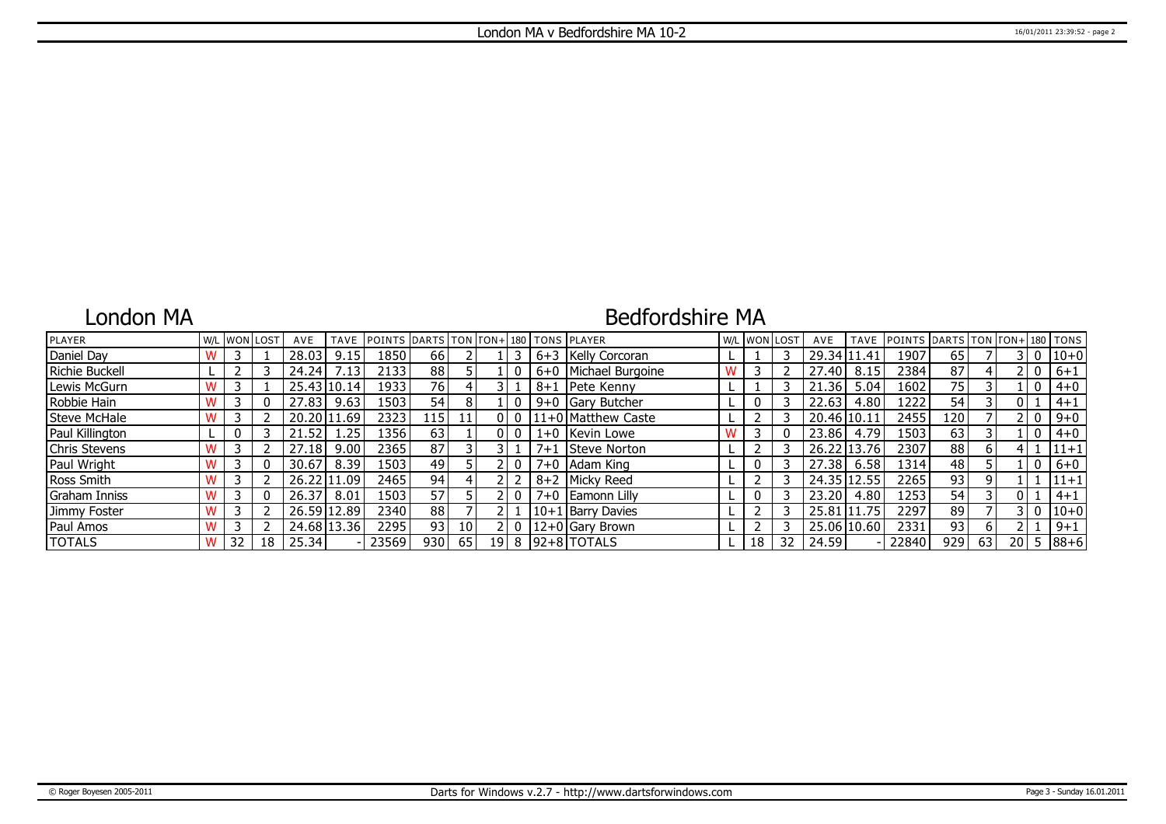# London MA

## Bedfordshire MA

| <b>PLAYER</b>   |   |    | W/L WON LOST | AVE   | <b>TAVE</b> | <b>IPOINTS DARTS TON FON+180 TONS PLAYER</b> |                 |    |    |              |         |                      | W/L WON LOST |    | AVE         | <b>TAVE</b> | POINTS DARTS TON TON+ 180 TONS |     |              |      |                |           |
|-----------------|---|----|--------------|-------|-------------|----------------------------------------------|-----------------|----|----|--------------|---------|----------------------|--------------|----|-------------|-------------|--------------------------------|-----|--------------|------|----------------|-----------|
| Daniel Day      |   |    |              | 28.03 | 9.15        | 1850                                         | 66              |    |    |              |         | $6+3$ Kelly Corcoran |              |    | 29.34       | 11.41       | 1907                           | 65  |              |      | - 0            | $ 10+0$   |
| Richie Buckell  |   |    |              | 24.24 |             | 2133                                         | 88              |    |    |              | $6+0$   | Michael Burgoine     |              |    | 27.40       | 8.15        | 2384                           | 87  |              |      | ! O            | $6 + 1$   |
| Lewis McGurn    |   |    |              |       | 25.43 10.14 | 1933                                         | 76 <sup>1</sup> |    |    |              | $8 + 1$ | Pete Kenny           |              |    | 21.36       | 5.04        | 1602                           | 75  |              |      | $\mathbf{0}$   | $4 + 0$   |
| Robbie Hain     |   |    |              | 27.83 | 9.63        | 1503                                         | 54              | 8  |    |              |         | 9+0 Gary Butcher     |              |    | 22.63       | 4.80        | 1222                           | 54  |              | 0 L  |                | $4 + 1$   |
| Steve McHale    |   |    |              | 20.20 | .69<br>.11  | 2323                                         | 115             | 11 |    | $\mathbf{0}$ |         | 11+0 Matthew Caste   |              |    | 20.46       | 10.11       | 2455                           | 20  |              |      | 2 I O          | $9 + 0$   |
| Paul Killington |   |    |              | 21.52 | 1.25        | 1356                                         | 63              |    |    |              |         | 1+0 Kevin Lowe       |              |    | 23.86       | 4.79        | 1503                           | 63  |              |      | $\mathbf{0}$   | $4 + 0$   |
| Chris Stevens   |   |    |              | 27.18 | 9.00        | 2365                                         | 87              |    |    |              | $7 + 1$ | Steve Norton         |              |    |             | 26.22 13.76 | 2307                           | 88  | $\mathsf{h}$ |      |                | $11 + 1$  |
| Paul Wright     |   |    |              | 30.67 | 8.39        | 1503                                         | 49              |    |    |              | $7 + 0$ | IAdam King           | 0            |    | 27.38       | 6.58        | 1314                           | 48  |              |      | $\overline{0}$ | $6+0$     |
| Ross Smith      |   |    |              |       | 26.22 11.09 | 2465                                         | 94              |    |    |              |         | $8+2$ Micky Reed     |              |    | 24.35 12.55 |             | 2265                           | 93  |              |      |                | $11+1$    |
| Graham Inniss   |   |    |              | 26.37 | 8.01        | 1503                                         | 57              |    |    |              |         | 7+0 Eamonn Lilly     |              |    | 23.20       | 4.80        | 1253                           | 54  |              | 0 L  |                | $4 + 1$   |
| Jimmy Foster    |   |    |              |       | 26.59 12.89 | 2340                                         | 88              |    |    |              |         | 10+1 Barry Davies    |              |    | 25.81       | 11.75       | 2297                           | 89  |              |      | 3 I O          | $ 10+0$   |
| Paul Amos       |   |    |              |       | 24.68 13.36 | 2295                                         | 93              | 10 |    |              |         | $12+0$ Gary Brown    |              |    | 25.06 10.60 |             | 2331                           | 93  |              |      |                | $9 + 1$   |
| <b>TOTALS</b>   | W | 32 | 18           | 25.34 |             | 23569                                        | 930             | 65 | 19 |              |         | 8 92+8 TOTALS        | 18           | 32 | 24.59       |             | 22840                          | 929 | 63           | 20 L |                | $5 88+6 $ |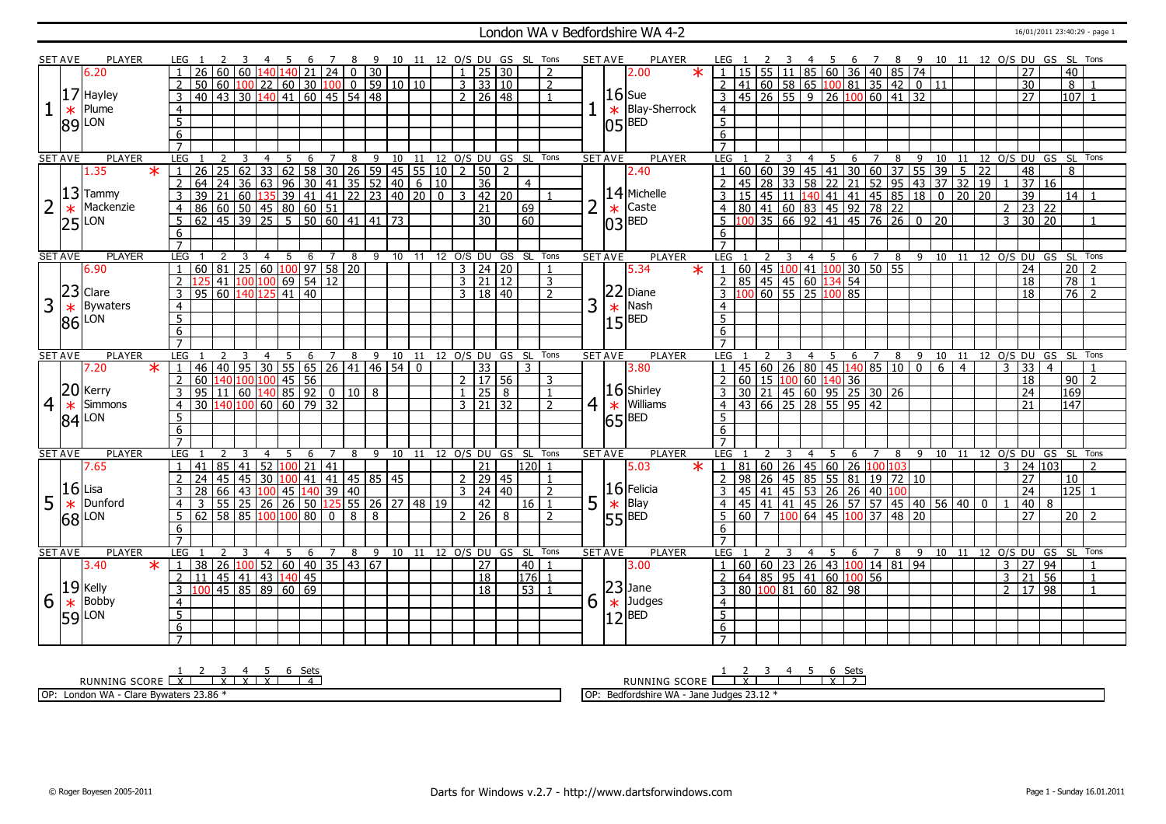### London WA v Bedfordshire WA 4-2 16/01/2011 23:40:29 - page 1

|   | SET AVE        | <b>PLAYER</b>         |         | LEG                   |                               |                 |                 |     |                        |                                      |                                                                                             |   |              |    |             |              |                          |                                   |                | 10 11 12 O/S DU GS SL Tons               |                | <b>SET AVE</b> |    | <b>PLAYER</b>           | LEG                                                                   |                 |                 |                |                                                                | 7               | 8         | -9                                 |                |                 |                 |                  |                     | 10 11 12 O/S DU GS SL Tons |                                   |                                  |
|---|----------------|-----------------------|---------|-----------------------|-------------------------------|-----------------|-----------------|-----|------------------------|--------------------------------------|---------------------------------------------------------------------------------------------|---|--------------|----|-------------|--------------|--------------------------|-----------------------------------|----------------|------------------------------------------|----------------|----------------|----|-------------------------|-----------------------------------------------------------------------|-----------------|-----------------|----------------|----------------------------------------------------------------|-----------------|-----------|------------------------------------|----------------|-----------------|-----------------|------------------|---------------------|----------------------------|-----------------------------------|----------------------------------|
|   |                | 6.20                  |         |                       | 26                            | 60              | 60              |     |                        |                                      | 140 140 21 24                                                                               |   | $0 \mid 30$  |    |             |              | $\overline{1}$           | 25 30                             |                |                                          | 2              |                |    | $\ast$<br>2.00          | 15                                                                    | 55              | 11              |                | 85 60 36 40 85 74                                              |                 |           |                                    |                |                 |                 |                  | 27                  |                            | 40                                |                                  |
|   |                |                       |         | $\overline{2}$        | $\overline{50}$               | 60              |                 |     |                        |                                      | 100 22 60 30 100                                                                            |   | $0$ 59 10 10 |    |             |              |                          | $3 \mid 33 \mid 10$               |                |                                          | $\overline{2}$ |                |    |                         | 2 41                                                                  |                 |                 |                |                                                                |                 |           | $\overline{0}$                     | 11             |                 |                 |                  | $\overline{30}$     |                            | 8<br>- 1                          |                                  |
|   |                | $ 17 $ Hayley         |         | 3                     | $\overline{40}$               | 43              |                 |     |                        |                                      | 30 140 41 60 45 54 48                                                                       |   |              |    |             |              |                          | $2 \mid 26 \mid 48$               |                |                                          | $\mathbf{1}$   |                |    | $16$ Sue                | 3                                                                     | $145$ 26        | 55              | 9              | 26 100                                                         |                 | $60 \ 41$ | 32                                 |                |                 |                 |                  | 27                  |                            | 107<br>- 1                        |                                  |
|   |                | Plume                 |         | $\overline{4}$        |                               |                 |                 |     |                        |                                      |                                                                                             |   |              |    |             |              |                          |                                   |                |                                          |                |                |    | Blay-Sherrock<br>$\ast$ | $\overline{4}$                                                        |                 |                 |                |                                                                |                 |           |                                    |                |                 |                 |                  |                     |                            |                                   |                                  |
|   | $\ast$         |                       |         |                       |                               |                 |                 |     |                        |                                      |                                                                                             |   |              |    |             |              |                          |                                   |                |                                          |                |                |    |                         | $\overline{5}$                                                        |                 |                 |                |                                                                |                 |           |                                    |                |                 |                 |                  |                     |                            |                                   |                                  |
|   |                | $ 89 $ LON            |         | $\overline{5}$        |                               |                 |                 |     |                        |                                      |                                                                                             |   |              |    |             |              |                          |                                   |                |                                          |                |                |    | $ 05 $ <sup>BED</sup>   |                                                                       |                 |                 |                |                                                                |                 |           |                                    |                |                 |                 |                  |                     |                            |                                   |                                  |
|   |                |                       |         | $\overline{6}$        |                               |                 |                 |     |                        |                                      |                                                                                             |   |              |    |             |              |                          |                                   |                |                                          |                |                |    |                         | 6                                                                     |                 |                 |                |                                                                |                 |           |                                    |                |                 |                 |                  |                     |                            |                                   |                                  |
|   |                | <b>PLAYER</b>         |         | $\overline{7}$        |                               |                 |                 |     |                        |                                      |                                                                                             |   |              |    |             |              |                          |                                   |                |                                          |                |                |    |                         |                                                                       |                 |                 |                |                                                                |                 |           |                                    |                |                 |                 |                  |                     |                            |                                   |                                  |
|   | <b>SET AVE</b> | 1.35                  | $\ast$  | LEG                   | 26                            | $\overline{25}$ | $\overline{62}$ |     | 5                      | 6                                    | 7<br>33 62 58 30 26 59 45 55 10 2 50                                                        | 8 |              |    |             |              |                          |                                   | $\overline{2}$ | 9 10 11 12 O/S DU GS SL Tons             |                | <b>SET AVE</b> |    | <b>PLAYER</b><br>2.40   | LEG <sub>1</sub>                                                      |                 |                 | $\overline{4}$ | 5<br>6<br>60 60 39 45 41 30 60 37 55 39                        | $\overline{7}$  | 8         | $-9$                               |                | $5-1$           | $\overline{22}$ |                  | $\overline{48}$     | 10 11 12 O/S DU GS SL Tons | 8                                 |                                  |
|   |                |                       |         |                       |                               |                 |                 |     |                        |                                      | 30  41  35  52  40                                                                          |   |              |    |             |              |                          |                                   |                |                                          |                |                |    |                         |                                                                       |                 |                 |                | $\overline{22}$<br>$\overline{21}$                             |                 |           |                                    |                | $\overline{32}$ |                 |                  | $\overline{37}$     | 16                         |                                   |                                  |
|   |                | $13$ Tammy            |         |                       | 64                            | 24              | 36              | 63  | 96                     |                                      |                                                                                             |   |              |    | $6 \mid 10$ |              |                          | 36                                |                | $\overline{4}$                           |                |                |    | $14$ Michelle           |                                                                       | 28              | 33              | 58             |                                                                |                 |           | 52 95 43                           | 37             |                 | 19              |                  |                     |                            |                                   |                                  |
|   |                |                       |         | 3                     |                               |                 | 60              |     |                        |                                      | $39 \overline{)41 \overline{)41 \overline{)22 \overline{)23 \overline{0}}40 \overline{20}}$ |   |              |    |             | $\mathbf{0}$ |                          |                                   | $42 \mid 20$   |                                          |                |                |    |                         | 15                                                                    | 45              |                 | 140            | 41 41 45 85 18                                                 |                 |           |                                    | $\overline{0}$ | 20              | 20              |                  | 39                  |                            | 14 <sup>1</sup>                   |                                  |
|   | $\ast$         | Mackenzie             |         | 4                     | 86                            | 60              |                 |     |                        | $50 \mid 45 \mid 80 \mid 60 \mid 51$ |                                                                                             |   |              |    |             |              |                          | $\overline{21}$                   |                | 69                                       |                | $\overline{2}$ |    | Caste<br>$\ast$         | $4 \ 80$                                                              |                 |                 |                | <u>180 41 60 83 45 92 78 22<br/>100 35 66 92 41 45 76 26 0</u> |                 |           |                                    |                |                 |                 | $\overline{2}$   | 23 22               |                            |                                   |                                  |
|   |                | $25$ <sup>LON</sup>   |         | 5                     | 62                            |                 |                 |     |                        |                                      | $\frac{1}{45}$ 39 25 5 5 50 60 41 41 73                                                     |   |              |    |             |              |                          | $\overline{30}$                   |                | 60                                       |                |                |    | $ 03 $ BED              | 5                                                                     |                 |                 |                |                                                                |                 |           |                                    | 20             |                 |                 | $\mathcal{E}$    | 30 20               |                            |                                   |                                  |
|   |                |                       |         | 6                     |                               |                 |                 |     |                        |                                      |                                                                                             |   |              |    |             |              |                          |                                   |                |                                          |                |                |    |                         | 6                                                                     |                 |                 |                |                                                                |                 |           |                                    |                |                 |                 |                  |                     |                            |                                   |                                  |
|   |                |                       |         | $\overline{7}$        |                               |                 |                 |     |                        |                                      |                                                                                             |   |              |    |             |              |                          |                                   |                |                                          |                |                |    |                         | $\overline{7}$                                                        |                 |                 |                |                                                                |                 |           |                                    |                |                 |                 |                  |                     |                            |                                   |                                  |
|   | <b>SET AVE</b> | <b>PLAYER</b>         |         | <b>LEG</b>            |                               |                 | 3               | 4   | 5                      | 6                                    |                                                                                             | 8 | 9            | 10 | 11          |              |                          |                                   |                | 12 O/S DU GS SL Tons                     |                | <b>SET AVE</b> |    | <b>PLAYER</b>           | LEG                                                                   |                 |                 | $\overline{4}$ | 5 6                                                            | 7               | 8         |                                    | 9 10 11        |                 |                 |                  |                     | 12 O/S DU GS SL Tons       | $\overline{z}$                    |                                  |
|   |                | 6.90                  |         |                       | 60                            | $\overline{81}$ |                 |     |                        |                                      | 25 60 100 97 58 20                                                                          |   |              |    |             |              |                          | $3 \mid 24 \mid 20$               |                |                                          | $\mathbf{1}$   |                |    | 5.34<br>$\ast$          | $\overline{1}$                                                        | 60 45 100       |                 |                | 41 100 30 50 55                                                |                 |           |                                    |                |                 |                 |                  | 24                  |                            | 20                                |                                  |
|   |                | $ 23 $ Clare          |         | $\overline{2}$        |                               | 41              | 100             | 100 |                        | $69$ 54 12                           |                                                                                             |   |              |    |             |              |                          | $3 \ 21 \ 12$                     |                |                                          | $\overline{3}$ |                | 22 |                         | 2 85 45 45 60 134 54<br>3 100 60 55 25 100 85                         |                 |                 |                |                                                                |                 |           |                                    |                |                 |                 |                  | 18                  |                            | $\overline{78}$<br>$\overline{1}$ |                                  |
|   |                |                       |         | 3                     | 95   60   140   125   41   40 |                 |                 |     |                        |                                      |                                                                                             |   |              |    |             |              |                          | 3   18   40                       |                |                                          | $\overline{2}$ |                |    | Diane                   |                                                                       |                 |                 |                |                                                                |                 |           |                                    |                |                 |                 |                  | 18                  |                            | $76 \mid 2$                       |                                  |
| 3 | $\ast$         | <b>Bywaters</b>       |         | $\overline{4}$        |                               |                 |                 |     |                        |                                      |                                                                                             |   |              |    |             |              |                          |                                   |                |                                          |                | 3              |    | $\ast$<br>Nash          | $\overline{4}$                                                        |                 |                 |                |                                                                |                 |           |                                    |                |                 |                 |                  |                     |                            |                                   |                                  |
|   |                | 86 LON                |         | $\overline{5}$        |                               |                 |                 |     |                        |                                      |                                                                                             |   |              |    |             |              |                          |                                   |                |                                          |                |                |    | $15$ BED                | $\overline{5}$                                                        |                 |                 |                |                                                                |                 |           |                                    |                |                 |                 |                  |                     |                            |                                   |                                  |
|   |                |                       |         | $\overline{6}$        |                               |                 |                 |     |                        |                                      |                                                                                             |   |              |    |             |              |                          |                                   |                |                                          |                |                |    |                         | 6                                                                     |                 |                 |                |                                                                |                 |           |                                    |                |                 |                 |                  |                     |                            |                                   |                                  |
|   |                |                       |         | $\overline{7}$        |                               |                 |                 |     |                        |                                      |                                                                                             |   |              |    |             |              |                          |                                   |                |                                          |                |                |    |                         | $\overline{7}$                                                        |                 |                 |                |                                                                |                 |           |                                    |                |                 |                 |                  |                     |                            |                                   |                                  |
|   | <b>SET AVE</b> | <b>PLAYER</b>         |         | LEG                   |                               |                 | 95              |     | -5                     | -6                                   | 7 8<br>$30 \mid 55 \mid 65 \mid 26 \mid 41 \mid 46 \mid 54 \mid 0$                          |   |              |    |             |              |                          |                                   |                | 9 10 11 12 O/S DU GS SL Tons<br>3        |                | <b>SET AVE</b> |    | <b>PLAYER</b>           | LEG                                                                   |                 |                 | $\overline{4}$ | - 5<br>80 45 140 85 10                                         | 6 7             |           | $8 \overline{9}$<br>$\overline{0}$ | 6 <sup>7</sup> | $\overline{4}$  |                 |                  | 33                  | 10 11 12 O/S DU GS SL Tons | $\overline{1}$                    |                                  |
|   |                | 7.20                  | $\star$ | $\overline{1}$        | 46                            | 40              |                 |     |                        |                                      |                                                                                             |   |              |    |             |              |                          | 33                                |                |                                          |                |                |    | 3.80                    |                                                                       | 45 60 26        |                 |                |                                                                |                 |           |                                    |                |                 |                 | $\mathcal{E}$    |                     | $\overline{4}$             | $\overline{2}$                    |                                  |
|   |                | $20$ Kerry            |         | $\overline{2}$        | 60                            | 140             |                 |     | 100 100 45 56          |                                      |                                                                                             |   |              |    |             |              | $\overline{\phantom{0}}$ | $\sqrt{17/56}$                    |                |                                          | 3              |                |    | 16 Shirley              | 60                                                                    | 15              |                 | 60             | $140\,36$                                                      |                 |           |                                    |                |                 |                 |                  | 18                  |                            | 90                                |                                  |
|   |                |                       |         |                       | 95                            | 11 <sup>1</sup> | 60              |     |                        |                                      | 140859201018                                                                                |   |              |    |             |              |                          | 25                                | 8              |                                          |                |                |    |                         | 30                                                                    | $ 21\rangle$    | 45              |                | $\boxed{60}$ 95 25 30 26                                       |                 |           |                                    |                |                 |                 |                  | 24                  |                            | 169                               |                                  |
| 4 | $\ast$         | Simmons               |         | $\overline{4}$        | 30                            |                 |                 |     |                        | 140 100 60 60 79 32                  |                                                                                             |   |              |    |             |              |                          | $3 \overline{)21} \overline{)32}$ |                |                                          | $\mathcal{D}$  | 4 <sup>1</sup> |    | $\star$ Williams        | $\overline{4}$                                                        |                 |                 |                | 43 66 25 28 55 95 42                                           |                 |           |                                    |                |                 |                 |                  | 21                  |                            | 147                               |                                  |
|   |                | $ 84 $ LON            |         | 5                     |                               |                 |                 |     |                        |                                      |                                                                                             |   |              |    |             |              |                          |                                   |                |                                          |                |                |    | $ 65 $ BED              | 5                                                                     |                 |                 |                |                                                                |                 |           |                                    |                |                 |                 |                  |                     |                            |                                   |                                  |
|   |                |                       |         | $6\overline{6}$       |                               |                 |                 |     |                        |                                      |                                                                                             |   |              |    |             |              |                          |                                   |                |                                          |                |                |    |                         | $6\overline{6}$                                                       |                 |                 |                |                                                                |                 |           |                                    |                |                 |                 |                  |                     |                            |                                   |                                  |
|   |                |                       |         | $\overline{7}$        |                               |                 |                 |     |                        |                                      |                                                                                             |   |              |    |             |              |                          |                                   |                |                                          |                |                |    |                         | $\overline{7}$                                                        |                 |                 |                |                                                                |                 |           |                                    |                |                 |                 |                  |                     |                            |                                   |                                  |
|   | <b>SET AVE</b> | <b>PLAYER</b>         |         | LEG                   | 41                            | 85              | 41              | 52  |                        | 100 21 41                            |                                                                                             |   | 9            | 10 | - 11        |              | 12 0/S DU                | 21                                |                | GS SL Tons<br>l120l 1                    |                | <b>SET AVE</b> |    | <b>PLAYER</b>           | LEG<br>81                                                             | $\overline{60}$ | $\overline{26}$ |                | 5<br>60 26 100 103                                             | 6               | 8         | $\mathsf{q}$                       | 10             | 11              |                 | 3                | 24 103              | 12 O/S DU GS SL            |                                   | Tons<br>$\overline{\phantom{a}}$ |
|   |                | 7.65                  |         | 2                     | 24                            | 45              |                 |     |                        |                                      | 45 30 100 41 41 45 85 45                                                                    |   |              |    |             |              |                          | 2   29   45                       |                |                                          | $\mathbf{1}$   |                |    | 5.03<br>$\ast$          | $\mathbf{1}$<br>2<br>98                                               | $\overline{26}$ |                 | 45             | $\frac{1}{45}$ 85 55 81 19 72 10                               |                 |           |                                    |                |                 |                 |                  | 27                  |                            | 10                                |                                  |
|   | $ 16 $ Lisa    |                       |         |                       |                               |                 |                 |     |                        |                                      |                                                                                             |   |              |    |             |              | $\mathbf{3}$             |                                   |                |                                          | $\overline{z}$ |                |    | $16$ Felicia            |                                                                       |                 |                 |                |                                                                |                 |           |                                    |                |                 |                 |                  |                     |                            |                                   |                                  |
| 5 |                | Dunford               |         | 3                     | 28                            | 66              | 43              | 100 | 45                     |                                      | 140 39 40                                                                                   |   |              |    |             |              |                          | 24   40                           |                |                                          |                | 5              |    | Blay                    | 3<br>45                                                               | 41              | 45              | 53             | 26<br>26                                                       |                 | 40 100    |                                    |                |                 |                 |                  | 24<br>40            |                            | $\overline{125}$                  |                                  |
|   | $\ast$         |                       |         | 4                     | 3                             | 55<br>58        | 25              |     |                        |                                      | 26   26   50   125   55   26   27   48   19                                                 |   |              |    |             |              |                          | 42<br>2 26                        |                | $16$   1                                 |                |                |    | $\ast$                  | 4                                                                     | $45 \mid 41$    | 41              | 45             | 26   57   57   45   40   56   40   0                           |                 |           |                                    |                |                 |                 |                  | $\overline{27}$     | 8                          |                                   |                                  |
|   |                | $ 68 $ LON            |         | 5                     | 62                            |                 | 85              | 100 |                        | 100 80                               | $\Omega$                                                                                    | 8 | 8            |    |             |              |                          |                                   | -8             |                                          | $\mathcal{P}$  |                |    | $ 55 $ BED              | 5<br>60                                                               |                 |                 | 64             | 45<br>100                                                      | $\overline{37}$ | 48        | $\overline{20}$                    |                |                 |                 |                  |                     |                            | 20 I<br>$\overline{z}$            |                                  |
|   |                |                       |         | 6<br>$\overline{7}$   |                               |                 |                 |     |                        |                                      |                                                                                             |   |              |    |             |              |                          |                                   |                |                                          |                |                |    |                         | 6                                                                     |                 |                 |                |                                                                |                 |           |                                    |                |                 |                 |                  |                     |                            |                                   |                                  |
|   |                |                       |         |                       |                               |                 |                 |     |                        |                                      |                                                                                             |   |              |    |             |              |                          |                                   |                |                                          |                |                |    |                         | $\overline{7}$                                                        |                 |                 |                |                                                                |                 |           |                                    |                |                 |                 |                  |                     |                            |                                   |                                  |
|   | <b>SET AVE</b> | <b>PLAYER</b><br>3.40 | $\star$ | LEG<br>$\overline{1}$ | l 38 l                        | $\overline{26}$ |                 |     | -5                     | 6                                    | $\overline{7}$<br>$100$   52   60   40   35   43   67                                       | 8 |              |    |             |              |                          | $\overline{27}$                   |                | 9 10 11 12 0/S DU GS SL Tons<br>  40   1 |                | <b>SET AVE</b> |    | <b>PLAYER</b><br>3.00   | LEG <sub>1</sub><br>$1   60   60   23   26   43   100   14   81   94$ |                 |                 | 4              | 5<br>6                                                         | $\overline{7}$  | 8         | -9                                 |                |                 |                 |                  | $3 \mid 27 \mid 94$ | 10 11 12 0/S DU GS SL Tons | $\overline{1}$                    |                                  |
|   |                |                       |         | $\overline{2}$        |                               |                 |                 |     |                        |                                      |                                                                                             |   |              |    |             |              |                          | 18                                |                | $176$ 1                                  |                |                |    |                         | 2   64   85   95   41   60   100   56                                 |                 |                 |                |                                                                |                 |           |                                    |                |                 |                 | $3 \mid 21 \mid$ |                     | 56                         | $\mathbf{1}$                      |                                  |
|   |                | $19$ Kelly            |         |                       | 11   45   41   43   140   45  |                 |                 |     |                        |                                      |                                                                                             |   |              |    |             |              |                          | 18                                |                |                                          |                |                |    | $ 23 $ Jane             |                                                                       |                 |                 |                |                                                                |                 |           |                                    |                |                 |                 | 2                | 17                  | 98                         | $\overline{1}$                    |                                  |
| 6 |                | $\star$ Bobby         |         | 3                     |                               |                 |                 |     | 45   85   89   60   69 |                                      |                                                                                             |   |              |    |             |              |                          |                                   |                | 53 1                                     |                | 6              |    |                         | 3                                                                     |                 |                 |                | 80 100 81 60 82 98                                             |                 |           |                                    |                |                 |                 |                  |                     |                            |                                   |                                  |
|   |                |                       |         | 4                     |                               |                 |                 |     |                        |                                      |                                                                                             |   |              |    |             |              |                          |                                   |                |                                          |                |                |    | $\star$ Judges          | 4                                                                     |                 |                 |                |                                                                |                 |           |                                    |                |                 |                 |                  |                     |                            |                                   |                                  |
|   |                | $59$ <sup>LON</sup>   |         | $\overline{5}$        |                               |                 |                 |     |                        |                                      |                                                                                             |   |              |    |             |              |                          |                                   |                |                                          |                |                |    | $12 _{\text{BED}}$      | 5                                                                     |                 |                 |                |                                                                |                 |           |                                    |                |                 |                 |                  |                     |                            |                                   |                                  |
|   |                |                       |         | 6<br>$\overline{7}$   |                               |                 |                 |     |                        |                                      |                                                                                             |   |              |    |             |              |                          |                                   |                |                                          |                |                |    |                         | 6<br>$\overline{7}$                                                   |                 |                 |                |                                                                |                 |           |                                    |                |                 |                 |                  |                     |                            |                                   |                                  |
|   |                |                       |         |                       |                               |                 |                 |     |                        |                                      |                                                                                             |   |              |    |             |              |                          |                                   |                |                                          |                |                |    |                         |                                                                       |                 |                 |                |                                                                |                 |           |                                    |                |                 |                 |                  |                     |                            |                                   |                                  |

RUNNING SCORE <u>| X | X | X | X | X | 4</u><br>RUNNING SCORE <u>| X | X | X | X | X | 4</u>

OP: London WA - Clare Bywaters 23.86 \*

RUNNING SCORE 1 2 X 3 4 5 6 X Sets 2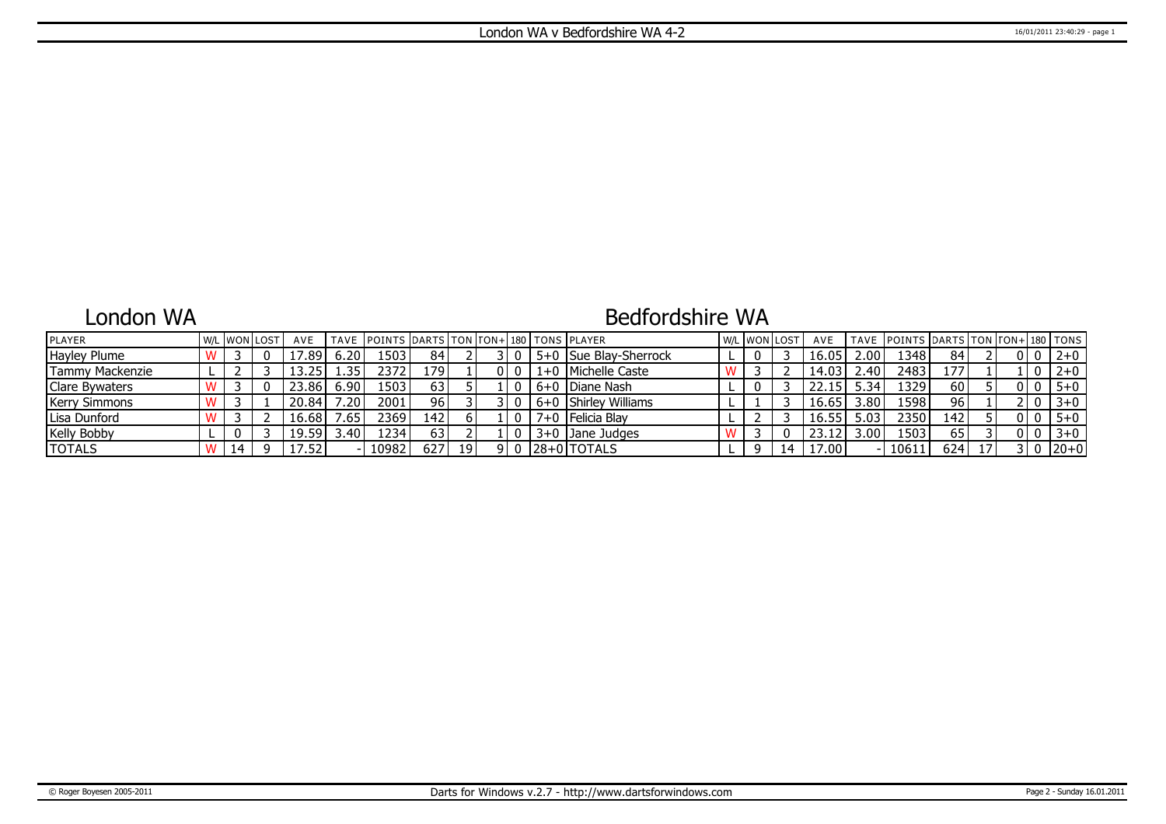# London WA

## Bedfordshire WA

| <b>IPLAYER</b>       |    | W/L WON LOST | AVE   |               | TAVE IPOINTS IDARTS ITON ITON+1180 ITONS IPLAYER |      |      |     |                         | W/L WON LOST |    | AVE   |                   | TAVE POINTS DARTS TON TON+ 180 TONS |                  |  |       |         |
|----------------------|----|--------------|-------|---------------|--------------------------------------------------|------|------|-----|-------------------------|--------------|----|-------|-------------------|-------------------------------------|------------------|--|-------|---------|
| Hayley Plume         |    |              | /.891 | 6.20          | 1503                                             | 84   |      |     | 5+0   Sue Blay-Sherrock |              |    | 16.05 | 2.00              | 1348                                | 84               |  |       | $2+0$   |
| Tammy Mackenzie      |    |              |       | 4.35'         | 2372                                             | 1791 |      |     | 1+0   Michelle Caste    |              |    | 14.03 | 2.40              | 2483                                | 177 <sup>1</sup> |  |       | $2 + 0$ |
| Clare Bywaters       |    |              | 23.86 | 6.90          | 1503                                             | 63   |      |     | 6+0 I Diane Nash        |              |    | 22.15 | 5.34              | 1329                                | 60'              |  |       | $5 + 0$ |
| <b>Kerry Simmons</b> |    |              | 20.84 | $.20^{\circ}$ | 2001                                             | 96 I |      |     | 6+0 Shirley Williams    |              |    | 16.65 | 3.80 <sub>1</sub> | 1598                                | 96               |  |       | $3 + 0$ |
| Lisa Dunford         |    |              | 16.68 | .65           | 2369                                             | 1421 |      |     | 7+0   Felicia Blav      |              |    | 16.55 | 5.03              | 2350                                | 142              |  | 010   | $5 + 0$ |
| <b>Kelly Bobby</b>   |    |              | 19.59 | 3.40          | 1234'                                            | 63   |      |     | 3+0 Jane Judges         |              |    | 23.12 | 3.00              | 1503                                | 65               |  | 010   | $3 + 0$ |
| <b>TOTALS</b>        | 14 |              | L7.52 |               | 10982                                            | 627  | 19 I | 910 | l28+0lTOTALS            |              | 14 | 17.00 |                   | 10611                               | 624              |  | 3 I O | 120+01  |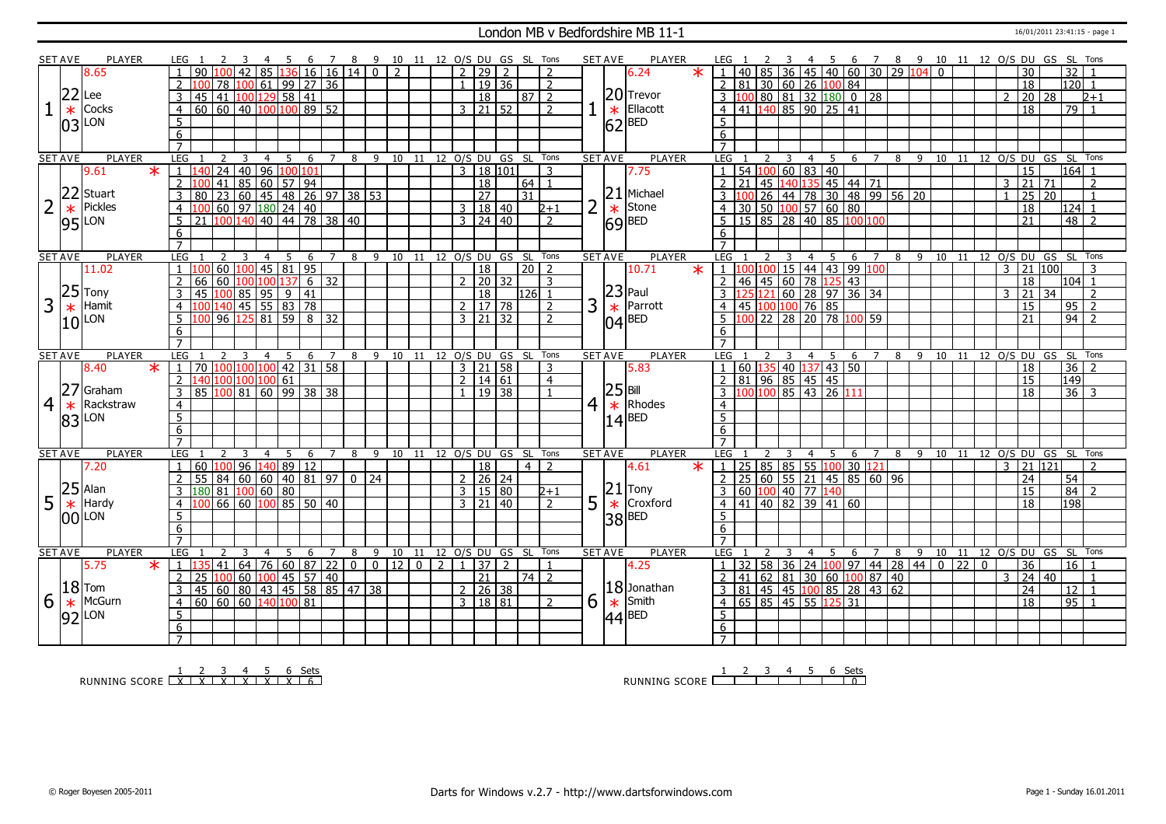### London MB v Bedfordshire MB 11-1 16/01/2011 23:41:15 - page 1

|   | <b>SET AVE</b> | PLAYER          | LEG.                |                                    |                                         |                       | 5 6 7 8 9 10 11 12 O/S DU GS SL Tons |                    |                |                              |                |                |                  |                                   |                 |                |   | <b>SET AVE</b> | PLAYER              |         | LEG                  |                        |            |                 |                                                 |                |                |   | 4 5 6 7 8 9 10 11 12 O/S DU GS SL Tons |    |                |   |                           |                 |                 |                |
|---|----------------|-----------------|---------------------|------------------------------------|-----------------------------------------|-----------------------|--------------------------------------|--------------------|----------------|------------------------------|----------------|----------------|------------------|-----------------------------------|-----------------|----------------|---|----------------|---------------------|---------|----------------------|------------------------|------------|-----------------|-------------------------------------------------|----------------|----------------|---|----------------------------------------|----|----------------|---|---------------------------|-----------------|-----------------|----------------|
|   |                | 8.65            |                     | 90<br>100                          | 42                                      |                       | 85   136   16   16   14   0          |                    |                |                              | $\overline{2}$ |                | 2 29             | $\overline{2}$                    |                 | $\overline{z}$ |   |                | 6.24                | $\star$ |                      |                        |            |                 | 40   85   36   45   40   60   30   29   104   0 |                |                |   |                                        |    |                |   | $\overline{30}$           |                 | 32              |                |
|   |                |                 |                     |                                    | 78 100 61 99 27                         |                       |                                      | 36                 |                |                              |                |                |                  | $1 \mid 19 \mid 36$               |                 | $\overline{2}$ |   |                |                     |         |                      |                        |            |                 | 81 30 60 26 100 84                              |                |                |   |                                        |    |                |   | $\overline{18}$           |                 | 120             | $\overline{1}$ |
|   | 22             | $ee$            |                     |                                    |                                         |                       |                                      |                    |                |                              |                |                |                  |                                   |                 |                |   |                | $ 20 $ Trevor       |         |                      |                        |            |                 |                                                 |                |                |   |                                        |    |                |   |                           |                 |                 |                |
|   |                |                 | $\overline{3}$      | 45 41 100 129 58 41                |                                         |                       |                                      |                    |                |                              |                |                |                  | $\overline{18}$                   | 87              | $\overline{2}$ |   |                |                     |         |                      |                        |            |                 | 00 80 81 32 180 0 28                            |                |                |   |                                        |    |                |   |                           | 20 28           |                 | $2 + 1$        |
|   | $\ast$         | Cocks           | $\overline{4}$      | 60   60   40   100   100   89   52 |                                         |                       |                                      |                    |                |                              |                |                |                  | 3   21   52                       |                 | $\overline{2}$ |   | $\ast$         | Ellacott            |         | $\overline{4}$       |                        |            |                 | $\frac{1}{41}$ $\frac{1}{140}$ 85 90 25 41      |                |                |   |                                        |    |                |   | 18                        |                 | 79              |                |
|   | 03             | LON             | 5                   |                                    |                                         |                       |                                      |                    |                |                              |                |                |                  |                                   |                 |                |   |                | $ 62 $ BED          |         | 5                    |                        |            |                 |                                                 |                |                |   |                                        |    |                |   |                           |                 |                 |                |
|   |                |                 | 6                   |                                    |                                         |                       |                                      |                    |                |                              |                |                |                  |                                   |                 |                |   |                |                     |         | 6                    |                        |            |                 |                                                 |                |                |   |                                        |    |                |   |                           |                 |                 |                |
|   |                |                 | $\overline{7}$      |                                    |                                         |                       |                                      |                    |                |                              |                |                |                  |                                   |                 |                |   |                |                     |         | $\overline{7}$       |                        |            |                 |                                                 |                |                |   |                                        |    |                |   |                           |                 |                 |                |
|   | <b>SET AVE</b> | PLAYER          | <b>LEG</b>          |                                    | 3                                       | 5<br>$\overline{4}$   | 6                                    | $\overline{7}$     | 8              | 9                            | 10             |                |                  | 11 12 O/S DU GS SL Tons           |                 |                |   | <b>SET AVE</b> | <b>PLAYER</b>       |         | LEG                  |                        |            | 4               | 5                                               | 6              | $\overline{7}$ | 8 | $9 \quad 10$                           | 11 |                |   | 12 O/S DU GS SL Tons      |                 |                 |                |
|   |                | 9.61<br>$\ast$  | $\mathbf{1}$        | 24                                 | 40 96 100 101                           |                       |                                      |                    |                |                              |                |                |                  | 3   18   101                      |                 | 3              |   |                | 7.75                |         | $\overline{1}$       | 54 100 60              |            | $\overline{83}$ | $\overline{40}$                                 |                |                |   |                                        |    |                |   | $\overline{15}$           |                 | $164$ 1         |                |
|   |                |                 | 2                   | 41                                 | 85<br>60                                |                       | 57 94                                |                    |                |                              |                |                |                  | 18                                | 64              | $\overline{1}$ |   |                |                     |         | 2<br>21              |                        | 45 140 135 |                 | $145$ 44 71                                     |                |                |   |                                        |    |                | 3 | 21                        | 71              |                 | $\mathcal{P}$  |
|   | 22             | Stuart          | $\overline{3}$      | $\overline{23}$<br>80              | 60                                      |                       | $145$ $ 48$ $ 26$ 97 38 53           |                    |                |                              |                |                |                  | $\overline{27}$                   | $\overline{31}$ |                |   | 21             | Michael             |         | 3                    |                        |            |                 | 26 44 78 30 48 99 56 20                         |                |                |   |                                        |    |                |   | $\overline{25}$           | $\overline{20}$ |                 | $\overline{1}$ |
|   | $\ast$         | <b>Pickles</b>  | $\overline{4}$      |                                    |                                         |                       |                                      |                    |                |                              |                |                |                  | 3   18   40                       |                 | $2 + 1$        |   | $\ast$         | Stone               |         | 4                    |                        |            |                 | $30\,$ 50 $\,100\,$ 57 60 80                    |                |                |   |                                        |    |                |   | $\overline{18}$           |                 | $124$ 1         |                |
|   |                | LON             | 5                   | 21 100 140                         |                                         |                       |                                      |                    |                |                              |                |                |                  | $3 \mid 24 \mid 40$               |                 | $\overline{z}$ |   |                |                     |         | $5^{\circ}$          |                        |            |                 | 15 85 28 40 85 100 100                          |                |                |   |                                        |    |                |   | $\overline{21}$           |                 | 48              | $\overline{2}$ |
|   | 95             |                 | 6                   |                                    |                                         |                       |                                      |                    |                |                              |                |                |                  |                                   |                 |                |   |                | $69$ <sup>BED</sup> |         | 6                    |                        |            |                 |                                                 |                |                |   |                                        |    |                |   |                           |                 |                 |                |
|   |                |                 | $\overline{7}$      |                                    |                                         |                       |                                      |                    |                |                              |                |                |                  |                                   |                 |                |   |                |                     |         |                      |                        |            |                 |                                                 |                |                |   |                                        |    |                |   |                           |                 |                 |                |
|   | <b>SET AVE</b> | <b>PLAYER</b>   | LEG                 |                                    |                                         |                       | 6                                    | $\overline{7}$     | 8              | 9                            |                |                |                  | 10 11 12 O/S DU GS SL             |                 | Tons           |   | <b>SET AVE</b> | <b>PLAYER</b>       |         | LEG                  |                        |            | 4               | - 5                                             | $\overline{7}$ |                |   | 8 9 10 11 12 0/S DU GS SL Tons         |    |                |   |                           |                 |                 |                |
|   |                | 11.02           | $\overline{1}$      |                                    | 60   100   45   81   95                 |                       |                                      |                    |                |                              |                |                |                  | 18                                | $\overline{20}$ | $\overline{2}$ |   |                | 10.71               | $\ast$  | l 1 l 1              |                        |            |                 |                                                 | 6              | 100            |   |                                        |    |                |   | $3 \ 21 \ 100$            |                 |                 |                |
|   |                |                 |                     |                                    |                                         |                       | 6 <sup>1</sup>                       | $\overline{32}$    |                |                              |                |                |                  | $20 \mid 32$                      |                 |                |   |                |                     |         |                      |                        |            |                 |                                                 |                |                |   |                                        |    |                |   | $\overline{18}$           |                 | $104$ 1         |                |
|   | 25             |                 |                     | 66<br>60                           | 00 100 137                              |                       |                                      |                    |                |                              |                |                |                  |                                   |                 | 3              |   |                | $ 23 $ Paul         |         | $\overline{2}$       |                        |            |                 | 46 45 60 78 125 43                              |                |                |   |                                        |    |                |   |                           |                 |                 |                |
|   |                | Tony            | 3                   | 45<br>100                          | 85 95 9 41<br>45 55 83 78               |                       |                                      |                    |                |                              |                |                |                  | 18                                | 126l            |                |   |                |                     |         |                      | 121                    |            |                 | 60 28 97 36 34                                  |                |                |   |                                        |    |                |   | 21                        | 34              |                 | $\overline{2}$ |
| 3 | $\ast$         | Hamit           | $\overline{4}$      | 140                                |                                         |                       |                                      |                    |                |                              |                |                |                  | $2 \mid 17 \mid 78$               |                 | $\overline{2}$ | 3 | $\ast$         | Parrott             |         | 4                    | 45 100 100 76 85       |            |                 |                                                 |                |                |   |                                        |    |                |   | $\overline{15}$           |                 |                 | $95 \mid 2$    |
|   |                | LON             | $5^{\circ}$         | 96                                 | $\overline{81}$<br>125                  | $\overline{59}$       |                                      | $8 \overline{)32}$ |                |                              |                |                |                  | $3 \overline{)21} \overline{)32}$ |                 | $\mathcal{L}$  |   |                | $ 04 $ BED          |         | $5^{\circ}$          |                        |            |                 | $\frac{100}{22}$ 28 20 78 100 59                |                |                |   |                                        |    |                |   | 21                        |                 | 94              |                |
|   |                |                 | 6                   |                                    |                                         |                       |                                      |                    |                |                              |                |                |                  |                                   |                 |                |   |                |                     |         | 6                    |                        |            |                 |                                                 |                |                |   |                                        |    |                |   |                           |                 |                 |                |
|   |                |                 | $\overline{7}$      |                                    |                                         |                       |                                      |                    |                |                              |                |                |                  |                                   |                 |                |   |                |                     |         | $\overline{7}$       |                        |            |                 |                                                 |                |                |   |                                        |    |                |   |                           |                 |                 |                |
|   | <b>SET AVE</b> | PLAYER          | LEG                 |                                    | $\overline{3}$                          | 5<br>4                | 6                                    | $\overline{7}$     |                |                              |                |                |                  | 8 9 10 11 12 O/S DU GS SL Tons    |                 |                |   | <b>SET AVE</b> | <b>PLAYER</b>       |         | <b>LEG</b>           |                        | 3          | $\overline{4}$  | - 5                                             | 6              | $\overline{7}$ |   |                                        |    |                |   | 8 9 10 11 12 0/S DU GS SL |                 |                 | Tons           |
|   |                |                 |                     | 2                                  |                                         |                       |                                      |                    |                |                              |                |                |                  |                                   |                 |                |   |                |                     |         |                      |                        |            |                 |                                                 |                |                |   |                                        |    |                |   |                           |                 |                 |                |
|   |                | $\ast$<br>8.40  | $\vert 1 \vert$     | 70 100 100 100 42 31 58            |                                         |                       |                                      |                    |                |                              |                |                |                  | $3 \mid 21 \mid 58$               |                 | 3              |   |                | 5.83                |         | $\overline{1}$       |                        |            |                 | 60 135 40 137 43 50                             |                |                |   |                                        |    |                |   | 18                        |                 | 36              | $\overline{2}$ |
|   |                |                 | 2                   | 140 100 100 100 61                 |                                         |                       |                                      |                    |                |                              |                |                |                  | 2   14   61                       |                 | $\overline{4}$ |   |                |                     |         | $\overline{2}$       | 81   96   85   45   45 |            |                 |                                                 |                |                |   |                                        |    |                |   | 15                        |                 | 149             |                |
|   | 27             | Graham          | 3                   | $85  100  81  60  99  38  38$      |                                         |                       |                                      |                    |                |                              |                |                |                  | 19 38                             |                 |                |   | $ 25 $ Bill    |                     |         |                      |                        |            |                 | 100 100 85 43 26 111                            |                |                |   |                                        |    |                |   | 18                        |                 |                 | $36 \mid 3$    |
|   |                | Rackstraw       | $\overline{4}$      |                                    |                                         |                       |                                      |                    |                |                              |                |                |                  |                                   |                 |                |   |                | Rhodes              |         | $\overline{4}$       |                        |            |                 |                                                 |                |                |   |                                        |    |                |   |                           |                 |                 |                |
| 4 | $\ast$         | LON             |                     |                                    |                                         |                       |                                      |                    |                |                              |                |                |                  |                                   |                 |                | 4 | $\ast$         |                     |         | $\overline{5}$       |                        |            |                 |                                                 |                |                |   |                                        |    |                |   |                           |                 |                 |                |
|   | 83             |                 | $\overline{5}$      |                                    |                                         |                       |                                      |                    |                |                              |                |                |                  |                                   |                 |                |   |                | $ 14 $ BED          |         |                      |                        |            |                 |                                                 |                |                |   |                                        |    |                |   |                           |                 |                 |                |
|   |                |                 | 6<br>$\overline{7}$ |                                    |                                         |                       |                                      |                    |                |                              |                |                |                  |                                   |                 |                |   |                |                     |         | $6 \overline{6}$     |                        |            |                 |                                                 |                |                |   |                                        |    |                |   |                           |                 |                 |                |
|   |                |                 |                     | $\overline{2}$                     | 3                                       | $\overline{4}$        |                                      | $\overline{7}$     |                |                              |                |                |                  |                                   |                 | Tons           |   |                |                     |         |                      |                        | 3          |                 |                                                 |                |                |   |                                        |    |                |   |                           |                 |                 | Tons           |
|   | <b>SET AVE</b> | <b>PLAYER</b>   | <b>LEG</b>          | nn                                 |                                         | - 5                   | 6                                    |                    | 8              | 9                            |                |                |                  | 10 11 12 0/S DU GS SL             |                 |                |   | <b>SET AVE</b> | <b>PLAYER</b>       |         | LEG                  |                        |            | 4 <sub>5</sub>  |                                                 | 6 <sub>7</sub> |                | 8 | 9 10 11 12 0/S DU GS SL                |    |                |   |                           |                 |                 | $\overline{z}$ |
|   |                | 7.20            |                     | 60                                 | 96                                      |                       | 140 89 12                            |                    |                |                              |                |                |                  | $\overline{18}$                   | $\overline{4}$  | $\overline{2}$ |   |                | 4.61                | $\ast$  | 25                   |                        | 85 85 55   |                 | 10 <sub>0</sub>                                 | 30             | 121            |   |                                        |    |                | 3 |                           | 21 121          |                 |                |
|   |                |                 |                     | 55 84                              | 60 60 40 81 97                          |                       |                                      |                    | $\bullet$      | $\overline{24}$              |                |                |                  | $2 \ 26 \ 24$                     |                 |                |   |                |                     |         | $\overline{25}$      |                        | $60$ 55 21 |                 | $\overline{45}$                                 | 85 60 96       |                |   |                                        |    |                |   | 24                        |                 | $\overline{54}$ |                |
|   | 25             | Alan            | 3                   | 180 81 100 60 80                   |                                         |                       |                                      |                    |                |                              |                |                |                  | 3   15   80                       |                 | $2 + 1$        |   | 21             | Tony                |         | $\overline{3}$       | 60 100 40 77 140       |            |                 |                                                 |                |                |   |                                        |    |                |   | $\overline{15}$           |                 | 84              | $\overline{z}$ |
| 5 | $\ast$         | Hardy           | $\overline{4}$      |                                    | 66 60 100 85 50 40                      |                       |                                      |                    |                |                              |                |                |                  | $3 \mid 21 \mid 40$               |                 | $\overline{2}$ | 5 | $\ast$         | Croxford            |         | $\overline{4}$       | 41 40 82 39            |            |                 | 41 60                                           |                |                |   |                                        |    |                |   | 18                        |                 | 198             |                |
|   |                | <b>OO</b> LON   | 5                   |                                    |                                         |                       |                                      |                    |                |                              |                |                |                  |                                   |                 |                |   |                | $ 38 $ BED          |         | 5                    |                        |            |                 |                                                 |                |                |   |                                        |    |                |   |                           |                 |                 |                |
|   |                |                 | 6                   |                                    |                                         |                       |                                      |                    |                |                              |                |                |                  |                                   |                 |                |   |                |                     |         | 6                    |                        |            |                 |                                                 |                |                |   |                                        |    |                |   |                           |                 |                 |                |
|   |                |                 | $\overline{7}$      |                                    |                                         |                       |                                      |                    |                |                              |                |                |                  |                                   |                 |                |   |                |                     |         | $\overline{7}$       |                        |            |                 |                                                 |                |                |   |                                        |    |                |   |                           |                 |                 |                |
|   | <b>SET AVE</b> | <b>PLAYER</b>   | <b>LEG</b>          | $\overline{2}$                     | 3                                       | - 5<br>$\overline{4}$ | 6                                    | 7                  | 8              | 9 10 11 12 0/S DU GS SL Tons |                |                |                  |                                   |                 |                |   | <b>SET AVE</b> | <b>PLAYER</b>       |         | LEG                  |                        |            | $\overline{4}$  | - 5                                             | 6              | 7 8            |   | 9 10 11 12 O/S DU GS SL Tons           |    |                |   |                           |                 |                 |                |
|   |                | $\star$<br>5.75 | 1 135               | 41                                 | 64                                      |                       | 76 60 87 22                          |                    | $\overline{0}$ | $0$ 12 0                     |                | $\overline{2}$ | $1 \mid 37 \mid$ | $\overline{2}$                    |                 | $\mathbf{1}$   |   |                | 4.25                |         | $\vert$ 1<br>32      | $58 \overline{)36}$    |            | 24 100          |                                                 |                |                |   | 97   44   28   44   0                  | 22 | $\overline{0}$ |   | 36                        |                 | 16              | $\overline{1}$ |
|   |                |                 | 2                   | 25                                 | $\boxed{100}$ 60 $\boxed{100}$ 45 57 40 |                       |                                      |                    |                |                              |                |                |                  | $\overline{21}$                   |                 | 74   2         |   |                |                     |         | 41<br><sup>2</sup>   |                        |            |                 | $62$ 81 30 60 100 87 40                         |                |                |   |                                        |    |                | 3 |                           | 24 40           |                 | $\overline{1}$ |
|   |                | $18$ Tom        | 3                   | 45 60 80 43 45 58 85 47 38         |                                         |                       |                                      |                    |                |                              |                |                |                  | $2 \mid 26 \mid 38$               |                 |                |   |                | $ 18 $ Jonathan     |         | $\overline{3}$<br>81 |                        |            |                 | 45 45 100 85 28 43 62                           |                |                |   |                                        |    |                |   | 24                        |                 | 12 <sup>1</sup> | $\overline{1}$ |
| 6 | $\ast$         | McGurn          | $\overline{4}$      | 60   60   60   140   100   81      |                                         |                       |                                      |                    |                |                              |                |                |                  | 3   18   81                       |                 | $\overline{2}$ | 6 |                | Smith               |         | $\overline{4}$       | $65$ 85 45 55          |            |                 | 125                                             | 31             |                |   |                                        |    |                |   | $\overline{18}$           |                 | 95              | $\overline{1}$ |
|   |                | LON             | 5                   |                                    |                                         |                       |                                      |                    |                |                              |                |                |                  |                                   |                 |                |   | $\ast$         |                     |         | 5                    |                        |            |                 |                                                 |                |                |   |                                        |    |                |   |                           |                 |                 |                |
|   | 92             |                 | 6                   |                                    |                                         |                       |                                      |                    |                |                              |                |                |                  |                                   |                 |                |   |                | $ 44 ^{BED}$        |         | 6                    |                        |            |                 |                                                 |                |                |   |                                        |    |                |   |                           |                 |                 |                |

RUNNING SCORE 1 X 2 X 3 X 4 X 5 X 6 X Sets 6

RUNNING SCORE 1 2 3 4 5 6 Sets 0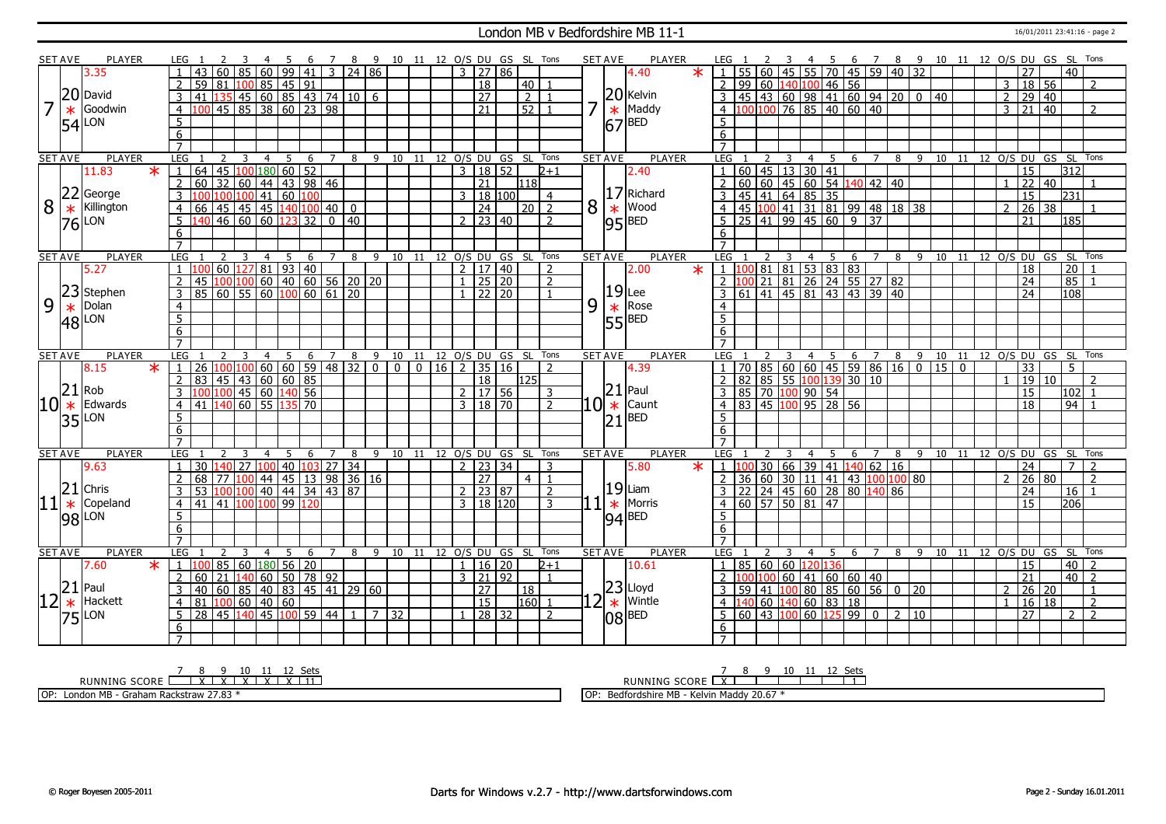#### London MB v Bedfordshire MB 11-1 16/01/2011 23:41:16 - page 2

|    | <b>SET AVE</b>  | <b>PLAYER</b> |                   | LEG                 |                                              |                                       |                             |     | - 6             |                | $\overline{7}$ | 8 <sup>2</sup> | $^{\circ}$     |                |     |                                    |                |                     |                          | 10 11 12 O/S DU GS SL Tons |                | <b>SET AVE</b> |                | PLAYER                               |        |                         |     |                |                | - 5              |                                                            |                                                     |                    |     | 6 7 8 9 10 11 12 0/S DU GS SL Tons |              |                |                |                         |    |                 |                |
|----|-----------------|---------------|-------------------|---------------------|----------------------------------------------|---------------------------------------|-----------------------------|-----|-----------------|----------------|----------------|----------------|----------------|----------------|-----|------------------------------------|----------------|---------------------|--------------------------|----------------------------|----------------|----------------|----------------|--------------------------------------|--------|-------------------------|-----|----------------|----------------|------------------|------------------------------------------------------------|-----------------------------------------------------|--------------------|-----|------------------------------------|--------------|----------------|----------------|-------------------------|----|-----------------|----------------|
|    |                 | 3.35          |                   |                     | l 43<br>60                                   |                                       | 85 60 99 41                 |     |                 |                | $\overline{3}$ | 24 86          |                |                |     |                                    |                |                     | $3 \mid 27 \mid 86$      |                            |                |                |                | 4.40                                 | $\ast$ |                         |     |                |                |                  |                                                            | 55 60 45 55 70 45 59 40 32                          |                    |     |                                    |              |                |                | 27                      |    | 40              |                |
|    |                 |               |                   | 2                   | 59                                           | 81 100 85 45 91                       |                             |     |                 |                |                |                |                |                |     |                                    |                | $\overline{18}$     |                          | 40                         |                |                |                |                                      |        |                         |     |                |                |                  | $2$ 99 60 140 100 46 56                                    |                                                     |                    |     |                                    |              |                | 3              | 18 56                   |    |                 | 2              |
|    |                 | $ 20 $ David  |                   | $\overline{3}$      | 41   135                                     |                                       | $\boxed{45}$ 60 85 43 74 10 |     |                 |                |                |                | -6             |                |     |                                    |                | 27                  |                          | $\overline{2}$             |                |                |                |                                      |        | 3                       |     |                |                |                  |                                                            |                                                     |                    |     | 40                                 |              | $\overline{2}$ |                | $29 \ 40$               |    |                 |                |
|    |                 |               |                   |                     |                                              |                                       |                             |     |                 |                |                |                |                |                |     |                                    |                |                     |                          |                            |                | 7              |                | $20$ Kelvin<br>$\ast$ Maddy<br>Maddy |        |                         |     |                |                |                  |                                                            | $45$ $ 43$ $ 60$ $ 98$ $ 41$ $ 60$ $ 94$ $ 20$ $ 0$ |                    |     |                                    |              |                |                |                         |    |                 |                |
|    | $\ast$          | Goodwin       |                   | $\overline{4}$      |                                              | 45 85 38 60 23 98                     |                             |     |                 |                |                |                |                |                |     |                                    |                | $\overline{21}$     |                          | 52                         |                |                |                |                                      |        | $\overline{4}$          |     |                |                |                  | 00 100 76 85 40 60 40                                      |                                                     |                    |     |                                    |              |                | $\overline{3}$ | 21   40                 |    |                 | 2              |
|    | 54              | LON           |                   | 5                   |                                              |                                       |                             |     |                 |                |                |                |                |                |     |                                    |                |                     |                          |                            |                |                | 67             | <b>BED</b>                           |        | 5                       |     |                |                |                  |                                                            |                                                     |                    |     |                                    |              |                |                |                         |    |                 |                |
|    |                 |               |                   | 6                   |                                              |                                       |                             |     |                 |                |                |                |                |                |     |                                    |                |                     |                          |                            |                |                |                |                                      |        | 6                       |     |                |                |                  |                                                            |                                                     |                    |     |                                    |              |                |                |                         |    |                 |                |
|    |                 |               |                   | $\overline{7}$      |                                              |                                       |                             |     |                 |                |                |                |                |                |     |                                    |                |                     |                          |                            |                |                |                |                                      |        |                         |     |                |                |                  |                                                            |                                                     |                    |     |                                    |              |                |                |                         |    |                 |                |
|    | <b>SET AVE</b>  | <b>PLAYER</b> |                   | LEG                 | 2                                            | 3                                     | $\overline{4}$              | 5   | 6               |                | $\overline{7}$ | 8              | 9              | 10             | 11  |                                    |                | 12 0/S DU           | GS                       | SL Tons                    |                | <b>SET AVE</b> |                | <b>PLAYER</b>                        |        | LEG                     |     | 3              | $\overline{4}$ | - 5              | 6                                                          | 7                                                   | 8                  | 9   | 10                                 |              |                |                | 11 12 O/S DU GS SL Tons |    |                 |                |
|    |                 | 11.83         | $\overline{\ast}$ | $\mathbf{1}$        | 64                                           | 45 100 180 60 52<br>32 60 44 43 98 46 |                             |     |                 |                |                |                |                |                |     |                                    | $\overline{3}$ | 18 52               |                          |                            | $2 + 1$        |                |                | 2.40                                 |        |                         |     |                |                | $60$ 45 13 30 41 |                                                            |                                                     |                    |     |                                    |              |                |                | 15                      |    | 312             |                |
|    |                 |               |                   | $\overline{2}$      | 60                                           |                                       |                             |     |                 |                |                |                |                |                |     |                                    |                | $\overline{21}$     |                          | 118                        |                |                |                |                                      |        | $\overline{2}$          |     |                |                |                  |                                                            |                                                     |                    |     |                                    |              |                |                | 22   40                 |    |                 |                |
|    | 22              | George        |                   | 3                   |                                              | 0 100 100 41 60                       |                             |     | 1100            |                |                |                |                |                |     |                                    |                |                     | 3   18   100             |                            | $\overline{4}$ |                |                | $17$ Richard                         |        | $\overline{3}$          |     |                |                | 45 41 64 85 35   |                                                            |                                                     |                    |     |                                    |              |                |                | $\overline{15}$         |    | 231             |                |
| 8  | $\ast$          | Killington    |                   | $\overline{4}$      | 66                                           | 45 45 45 140 100 40                   |                             |     |                 |                |                | $\overline{0}$ |                |                |     |                                    |                | $\overline{24}$     |                          | $\overline{20}$            | $\overline{z}$ | 8              | $\ast$         | Wood                                 |        | 4 <sup>1</sup>          |     |                |                |                  |                                                            | 45 100 41 31 81 99 48 18 38                         |                    |     |                                    |              | $\overline{2}$ |                | $\overline{26}$         | 38 |                 |                |
|    | 76              | LON           |                   | 5                   | 140 46 60 60 123 32                          |                                       |                             |     |                 |                | $\boxed{0}$ 40 |                |                |                |     |                                    |                |                     | $2 \mid 23 \mid 40$      |                            | $\overline{2}$ |                | 95             | <b>BED</b>                           |        | $5-1$                   |     |                |                |                  |                                                            | 25   41   99   45   60   9   37                     |                    |     |                                    |              |                |                | $\overline{21}$         |    | 185             |                |
|    |                 |               |                   | 6                   |                                              |                                       |                             |     |                 |                |                |                |                |                |     |                                    |                |                     |                          |                            |                |                |                |                                      |        | 6                       |     |                |                |                  |                                                            |                                                     |                    |     |                                    |              |                |                |                         |    |                 |                |
|    |                 |               |                   | $\overline{7}$      |                                              |                                       |                             |     |                 |                |                |                |                |                |     |                                    |                |                     |                          |                            |                |                |                |                                      |        | $\overline{7}$          |     |                |                |                  |                                                            |                                                     |                    |     |                                    |              |                |                |                         |    |                 |                |
|    | <b>SET AVE</b>  | <b>PLAYER</b> |                   | <b>LEG</b>          |                                              | 3                                     | $\overline{4}$              | -5  | 6               |                | $\overline{7}$ | 8              | 9              | 10             | 11  | 12                                 |                |                     |                          | O/S DU GS SL Tons          |                | <b>SET AVE</b> |                | <b>PLAYER</b>                        |        | LEG                     |     |                | $\overline{4}$ | - 5              | 6                                                          | $\overline{7}$                                      | 8                  | - 9 | 10                                 | 11           |                |                | 12 O/S DU GS SL Tons    |    |                 |                |
|    |                 | 5.27          |                   | 1 1100              |                                              |                                       |                             |     |                 |                |                |                |                |                |     |                                    |                |                     | 2   17   40              |                            | 2              |                |                | 2.00                                 | $\ast$ |                         |     |                |                |                  | $1 \vert 100 \vert 81 \vert 81 \vert 53 \vert 83 \vert 83$ |                                                     |                    |     |                                    |              |                |                | 18                      |    | 20              |                |
|    |                 |               |                   | $\overline{2}$      | 45                                           |                                       |                             |     |                 |                |                |                |                |                |     |                                    | $\mathbf{1}$   |                     | 25 20                    |                            | 2              |                |                |                                      |        | $\overline{2}$          |     |                |                |                  |                                                            | <mark>100</mark> 21 81 26 24 55 27 82               |                    |     |                                    |              |                |                | $\overline{24}$         |    | 85              |                |
|    | 23              | Stephen       |                   | $\overline{3}$      | $85   60   55   60   100   60   61   20$     |                                       |                             |     |                 |                |                |                |                |                |     |                                    |                |                     | 22 20                    |                            |                |                |                | $19$ Lee                             |        |                         |     |                |                |                  |                                                            | 61 41 45 81 43 43 39 40                             |                    |     |                                    |              |                |                | $\overline{24}$         |    | 108             |                |
| 9  |                 | Dolan         |                   | $\overline{4}$      |                                              |                                       |                             |     |                 |                |                |                |                |                |     |                                    |                |                     |                          |                            |                | 9              |                | Rose                                 |        | $\overline{4}$          |     |                |                |                  |                                                            |                                                     |                    |     |                                    |              |                |                |                         |    |                 |                |
|    | $\overline{48}$ | LON           |                   | $\overline{5}$      |                                              |                                       |                             |     |                 |                |                |                |                |                |     |                                    |                |                     |                          |                            |                |                | $\frac{*}{55}$ | BED                                  |        | $\overline{5}$          |     |                |                |                  |                                                            |                                                     |                    |     |                                    |              |                |                |                         |    |                 |                |
|    |                 |               |                   | 6                   |                                              |                                       |                             |     |                 |                |                |                |                |                |     |                                    |                |                     |                          |                            |                |                |                |                                      |        | 6                       |     |                |                |                  |                                                            |                                                     |                    |     |                                    |              |                |                |                         |    |                 |                |
|    |                 |               |                   | $\overline{7}$      |                                              |                                       |                             |     |                 |                |                |                |                |                |     |                                    |                |                     |                          |                            |                |                |                |                                      |        | $\overline{7}$          |     |                |                |                  |                                                            |                                                     |                    |     |                                    |              |                |                |                         |    |                 |                |
|    |                 |               |                   |                     |                                              |                                       |                             |     |                 |                |                |                |                |                |     |                                    |                |                     |                          |                            |                |                |                |                                      |        | <b>LEG</b>              |     |                | 4              | 5                | 6                                                          |                                                     |                    |     |                                    |              |                |                | 12 O/S DU GS SL         |    |                 | Tons           |
|    | <b>SET AVE</b>  | <b>PLAYER</b> |                   | LEG                 | $\mathcal{P}$                                |                                       | 4                           | 5   | 6               |                | 7              | 8              | 9              | 10             | 11  |                                    |                | 12 0/S DU           | GS SL                    |                            | Tons           | <b>SET AVE</b> |                | <b>PLAYER</b>                        |        |                         |     |                |                |                  |                                                            | 7                                                   | 8                  | 9   | 10                                 | 11           |                |                |                         |    |                 |                |
|    |                 | 8.15          | $\star$           | $\overline{1}$      | 26                                           | 100 100                               |                             |     |                 |                | $\sqrt{48}$ 32 |                | $\overline{0}$ | $\overline{0}$ |     | $0 \mid 16 \mid 2 \mid 35 \mid 16$ |                |                     |                          |                            | $\overline{2}$ |                |                | 4.39                                 |        | $\mathbf{1}$            |     |                |                |                  |                                                            |                                                     |                    |     | 15                                 | $\mathbf{0}$ |                |                | 33                      |    | 5.              |                |
|    |                 |               |                   | $\overline{2}$      |                                              |                                       | 60                          | 60  | $\overline{59}$ |                |                |                |                |                |     |                                    |                | 18                  |                          | 125                        |                |                |                |                                      |        | $\overline{2}$          |     |                |                |                  |                                                            | 70 85 60 60 45 59 86 16 0                           |                    |     |                                    |              | $\mathbf{1}$   |                | $\overline{19}$         | 10 |                 | $\mathcal{D}$  |
|    | 21              | Rob           |                   | 3                   | $83 \mid 45 \mid 43 \mid 60 \mid 60 \mid 85$ |                                       |                             | 140 | 56              |                |                |                |                |                |     |                                    |                |                     |                          |                            | 3              |                |                | $21$ Paul                            |        | 3                       |     |                |                |                  |                                                            | 82 85 55 100 139 30 10                              |                    |     |                                    |              |                |                | 15                      |    | $102$ 1         |                |
|    |                 | Edwards       |                   | $\overline{4}$      | 100 100 45 60                                |                                       |                             |     | $\overline{70}$ |                |                |                |                |                |     |                                    |                |                     | $2$ 17 56<br>3   18   70 |                            | $\overline{2}$ |                |                |                                      |        | $\overline{4}$          |     |                |                | 85 70 100 90 54  |                                                            |                                                     |                    |     |                                    |              |                |                |                         |    | $\overline{94}$ |                |
| 10 | $\ast$          |               |                   |                     | $\frac{1}{141}$ $\frac{140}{60}$ 55 135      |                                       |                             |     |                 |                |                |                |                |                |     |                                    |                |                     |                          |                            |                |                | $10 \times$    | Caunt                                |        | 5                       |     |                |                |                  | 83 45 100 95 28 56                                         |                                                     |                    |     |                                    |              |                |                | $\overline{18}$         |    |                 |                |
|    | 35              | LON           |                   | $\overline{5}$      |                                              |                                       |                             |     |                 |                |                |                |                |                |     |                                    |                |                     |                          |                            |                |                | 21             | <b>BED</b>                           |        |                         |     |                |                |                  |                                                            |                                                     |                    |     |                                    |              |                |                |                         |    |                 |                |
|    |                 |               |                   | 6<br>$\overline{7}$ |                                              |                                       |                             |     |                 |                |                |                |                |                |     |                                    |                |                     |                          |                            |                |                |                |                                      |        | $\overline{6}$          |     |                |                |                  |                                                            |                                                     |                    |     |                                    |              |                |                |                         |    |                 |                |
|    | <b>SET AVE</b>  | PLAYER        |                   | <b>LEG</b>          |                                              | 3                                     | $\overline{4}$              | -5  | -6              |                | $\overline{7}$ | 8              | $\mathsf{q}$   | 10             | -11 |                                    |                |                     |                          | 12 O/S DU GS SL Tons       |                | <b>SET AVE</b> |                | <b>PLAYER</b>                        |        | LEG                     |     |                | $\overline{4}$ | -5               | 6                                                          | $\overline{7}$                                      | 8                  | -9  | 10 11 12 0/S DU GS SL              |              |                |                |                         |    |                 | Tons           |
|    |                 | 9.63          |                   |                     | 30                                           | 27                                    | 00                          |     |                 |                |                |                |                |                |     |                                    |                | $2 \mid 23 \mid 34$ |                          |                            | 3              |                |                |                                      | $\ast$ | $\mathbf{1}$            |     |                |                |                  |                                                            |                                                     |                    |     |                                    |              |                |                |                         |    | $\overline{7}$  |                |
|    |                 |               |                   |                     |                                              | 100                                   |                             | 40  |                 | 103 27 34      |                |                |                |                |     |                                    |                |                     |                          | $\overline{4}$             | $\mathbf{1}$   |                |                | 5.80                                 |        |                         |     |                |                |                  |                                                            | 30   66   39   41   140   62   16                   |                    |     |                                    |              | 2              |                | $\overline{24}$         |    |                 | $\overline{2}$ |
|    |                 |               |                   |                     | 68                                           |                                       | 44                          | 45  |                 | $13$ 98 36     |                |                | 16             |                |     |                                    |                | 27                  |                          |                            |                |                |                |                                      |        |                         |     |                |                |                  |                                                            | 36 60 30 11 41 43 100 100 80                        |                    |     |                                    |              |                |                | 26 80                   |    |                 |                |
|    |                 | Chris         |                   | 3                   | 53 100 100 40 44 34 43 87                    |                                       |                             |     |                 |                |                |                |                |                |     |                                    |                | 2   23   87         |                          |                            | $\overline{2}$ |                | 19             | Liam                                 |        | $\overline{\mathsf{3}}$ |     |                |                |                  |                                                            | 22 24 45 60 28 80 140 86                            |                    |     |                                    |              |                |                | 24                      |    | 16              |                |
| 11 | $\frac{21}{*}$  | Copeland      |                   | $\overline{4}$      | 41 <br>41                                    |                                       | 100 100 99                  |     | 120             |                |                |                |                |                |     |                                    | $\mathcal{R}$  |                     | 18 120                   |                            | 3              |                | $\ast$         | Morris                               |        | $\overline{4}$          |     |                |                | $60$ 57 50 81 47 |                                                            |                                                     |                    |     |                                    |              |                |                | $\overline{15}$         |    | 206             |                |
|    |                 | 98 LON        |                   | 5                   |                                              |                                       |                             |     |                 |                |                |                |                |                |     |                                    |                |                     |                          |                            |                |                | 94             | BED                                  |        | 5                       |     |                |                |                  |                                                            |                                                     |                    |     |                                    |              |                |                |                         |    |                 |                |
|    |                 |               |                   | 6                   |                                              |                                       |                             |     |                 |                |                |                |                |                |     |                                    |                |                     |                          |                            |                |                |                |                                      |        | 6                       |     |                |                |                  |                                                            |                                                     |                    |     |                                    |              |                |                |                         |    |                 |                |
|    |                 |               |                   | $\overline{7}$      |                                              |                                       |                             |     |                 |                |                |                |                |                |     |                                    |                |                     |                          |                            |                |                |                |                                      |        | $\overline{7}$          |     |                |                |                  |                                                            |                                                     |                    |     |                                    |              |                |                |                         |    |                 |                |
|    | <b>SET AVE</b>  | <b>PLAYER</b> |                   | <b>LEG</b>          | 2                                            | 3                                     | $\overline{4}$              | 5   |                 | 6              | $\overline{7}$ | 8              | 9              | 10             | 11  |                                    |                |                     | 12 O/S DU GS SL          |                            | Tons           | <b>SET AVE</b> |                | <b>PLAYER</b>                        |        | LEG                     |     | $\overline{3}$ |                | 4 5              | 6                                                          | $\overline{7}$                                      | 8                  | - 9 | 10                                 |              |                |                | 11 12 O/S DU GS         |    | SL Tons         |                |
|    |                 | 7.60          | $\ast$            | $1 \; 100$          |                                              | 85 60 180 56 20                       |                             |     |                 |                |                |                |                |                |     |                                    |                |                     | 1   16   20              |                            | 2+1            |                |                | 10.61                                |        | $\mathbf{1}$            |     |                |                | 85 60 60 120 136 |                                                            |                                                     |                    |     |                                    |              |                |                | 15                      |    | 40              | $\overline{2}$ |
|    |                 |               |                   | 2                   | 21<br>60                                     |                                       | 140 60 50 78 92             |     |                 |                |                |                |                |                |     |                                    |                |                     | 3   21   92              |                            | $\overline{1}$ |                |                |                                      |        | $2^{\circ}$             | 100 |                |                |                  |                                                            | 1006041606040                                       |                    |     |                                    |              |                |                | 21                      |    | 40              | $\overline{2}$ |
|    | 21              | Paul          |                   | 3                   | 40                                           | $\boxed{60}$ 85 40 83                 |                             |     |                 | $145$ 41 29 60 |                |                |                |                |     |                                    |                | $\overline{27}$     |                          | $\overline{18}$            |                |                |                |                                      |        | 3                       |     |                |                |                  |                                                            | $59$ 41 100 80 85 60 56 0 20                        |                    |     |                                    |              |                | 2              | 26 20                   |    |                 | $\overline{1}$ |
|    | $12 \times$     | Hackett       |                   | $\overline{4}$      | 81                                           | 100604060                             |                             |     |                 |                |                |                |                |                |     |                                    |                | $\overline{15}$     |                          | 160                        |                | $\overline{2}$ |                | $\frac{23}{1}$ Lloyd<br>Wintle       |        | $\overline{4}$          |     |                |                |                  | 140 60 140 60 83 18                                        |                                                     |                    |     |                                    |              | $\overline{1}$ |                | 16 18                   |    |                 | 2              |
|    | 75              | LON           |                   | 5                   | 28 45 140 45 100 59 44                       |                                       |                             |     |                 |                |                | $\mathbf{1}$   | 7 <sup>1</sup> | 32             |     |                                    |                |                     | 28   32                  |                            | $\overline{2}$ |                | 08             | BED                                  |        | 5.                      |     |                |                |                  |                                                            | $60$   43   100   60   125   99   0                 | $\vert 2 \vert 10$ |     |                                    |              |                |                | $\overline{27}$         |    | $\overline{2}$  | $\overline{2}$ |
|    |                 |               |                   | 6<br>$\overline{7}$ |                                              |                                       |                             |     |                 |                |                |                |                |                |     |                                    |                |                     |                          |                            |                |                |                |                                      |        | 6<br>$\overline{7}$     |     |                |                |                  |                                                            |                                                     |                    |     |                                    |              |                |                |                         |    |                 |                |

<u>7 8 9 10 11 12 Sets</u><br>RUNNING SCORE <u>| X | X | X | X | X | 11</u>

OP: London MB - Graham Rackstraw 27.83 \*

RUNNING SCORE 7 X 8 9 10 11 12 Sets 1 OP: Bedfordshire MB - Kelvin Maddy 20.67 \*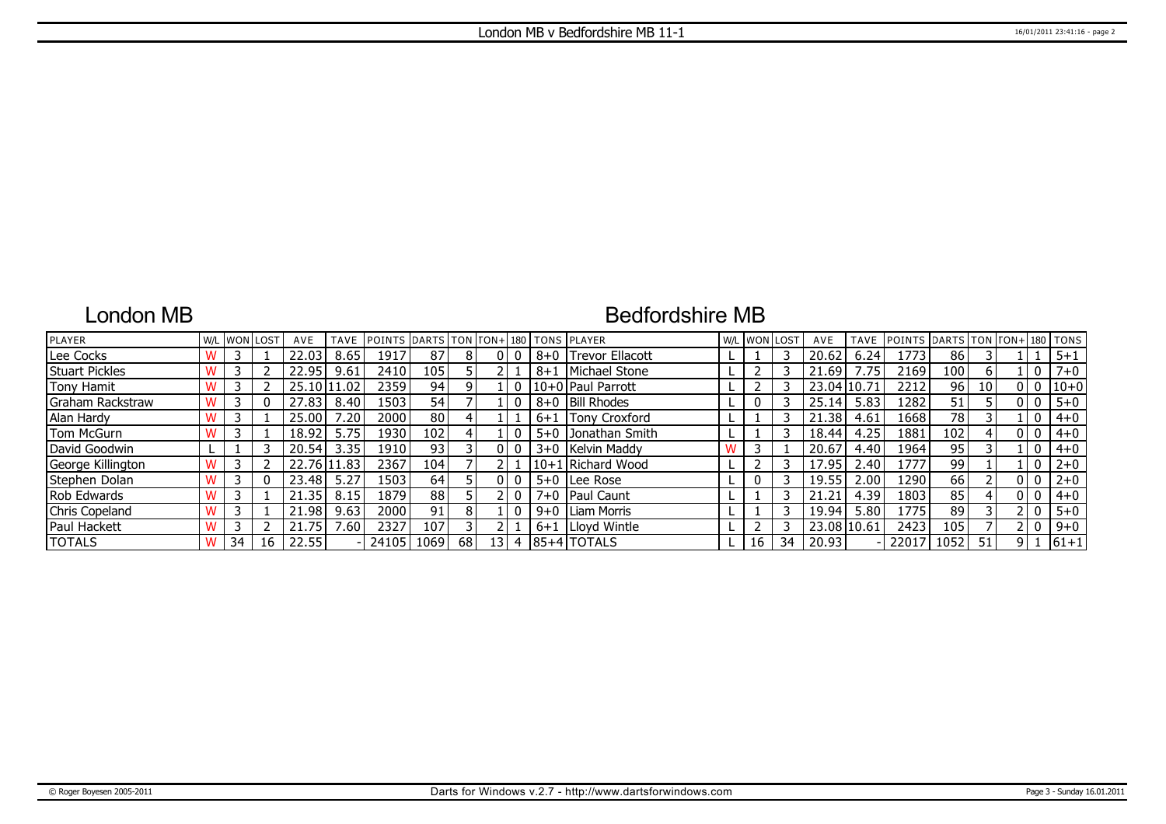# London MB

# Bedfordshire MB

| PLAYER            |   |    | W/L WON LOST | AVE         | <b>TAVE</b> | POINTS DARTS TON FON+1180 TONS PLAYER |      |    |                 |   |         |                       | W/L WON LOST |    | AVE         | <b>TAVE</b>    | <b>POINTS</b> | DARTS TON TON+ 180 TONS |    |    |       |         |
|-------------------|---|----|--------------|-------------|-------------|---------------------------------------|------|----|-----------------|---|---------|-----------------------|--------------|----|-------------|----------------|---------------|-------------------------|----|----|-------|---------|
| Lee Cocks         |   |    |              | 22.03       | 8.65        | 1917                                  | 87   | 8  |                 |   |         | 8+0 Trevor Ellacott   |              |    | 20.62       | 6.24           | 1773          | 86                      |    |    |       | $5 + 1$ |
| Stuart Pickles    |   |    |              | 22.95       | 9.61        | 2410                                  | 105  |    |                 |   | $8 + 1$ | Michael Stone         |              |    | 21.69       | .75            | 2169          | 100                     | 6  |    |       | $7 + 0$ |
| <b>Tony Hamit</b> |   |    |              | 25.10       | 11.02       | 2359                                  | 94   |    |                 |   |         | l 10+0 l Paul Parrott |              |    | 23.04 10.71 |                | 2212          | 96                      | 10 |    | 0 I O | $ 10+0$ |
| Graham Rackstraw  | w |    |              | 27.83       | 8.40        | 1503                                  | 54   |    |                 |   | $8 + 0$ | <b>Bill Rhodes</b>    |              |    | 25.14       | 5.83           | 282           | 51                      |    |    |       | $5 + 0$ |
| Alan Hardy        | W |    |              | 25.00       | 7.20        | 2000                                  | 80   |    |                 |   | $6 + 1$ | Tony Croxford         |              |    | 21.38       | 4.61           | 1668          | 78                      |    |    |       | $4 + 0$ |
| Tom McGurn        |   |    |              | 18.92       | 5.75        | 1930                                  | 102  |    |                 |   |         | 5+0 Jonathan Smith    |              |    | 18.44       | 4.25           | 1881          | 102                     | 4  |    |       | $4 + 0$ |
| David Goodwin     |   |    |              | 20.54       | .35         | 1910                                  | 93   |    |                 |   |         | $3+0$ Kelvin Maddy    |              |    | 20.67       | 4.40           | 1964 l        | 95                      |    |    |       | $4 + 0$ |
| George Killington |   |    |              | 22.76 11.83 |             | 2367                                  | 104  |    |                 |   |         | 10+1 Richard Wood     |              |    | 17.95       | $2.40^{\circ}$ | 777ء          | 99                      |    |    |       | $2 + 0$ |
| Stephen Dolan     |   |    |              | 23.48       | 5.27        | 1503                                  | 64   |    |                 |   |         | 5+0 Lee Rose          |              |    | 19.55       | 2.00           | 1290 l        | 66                      |    |    |       | $2 + 0$ |
| Rob Edwards       |   |    |              | 21.35       | 8.15        | 1879                                  | 88   |    |                 |   |         | 7+0 Paul Caunt        |              |    | 21.21       | 4.39           | 1803          | 85                      |    |    |       | $4 + 0$ |
| Chris Copeland    |   |    |              | 21.98       | 9.63        | 2000                                  | 91   | 8  |                 |   |         | 9+0 I Liam Morris     |              |    | 19.94       | 5.80           | 1775 l        | 89                      |    |    |       | $5 + 0$ |
| Paul Hackett      | W |    |              | .75         | 7.60        | 2327                                  | 107  |    |                 |   | $6 + 1$ | Llovd Wintle          |              |    | 23.08 10.61 |                | 2423          | 105                     |    |    |       | $9 + 0$ |
| <b>TOTALS</b>     | W | 34 | 16           | 22.55       |             | 24105                                 | 1069 | 68 | 13 <sup>1</sup> | 4 |         | $ 85+4 $ TOTALS       | 16           | 34 | 20.93       |                | 22017         | 1052                    | 51 | ۹١ |       | $ 61+1$ |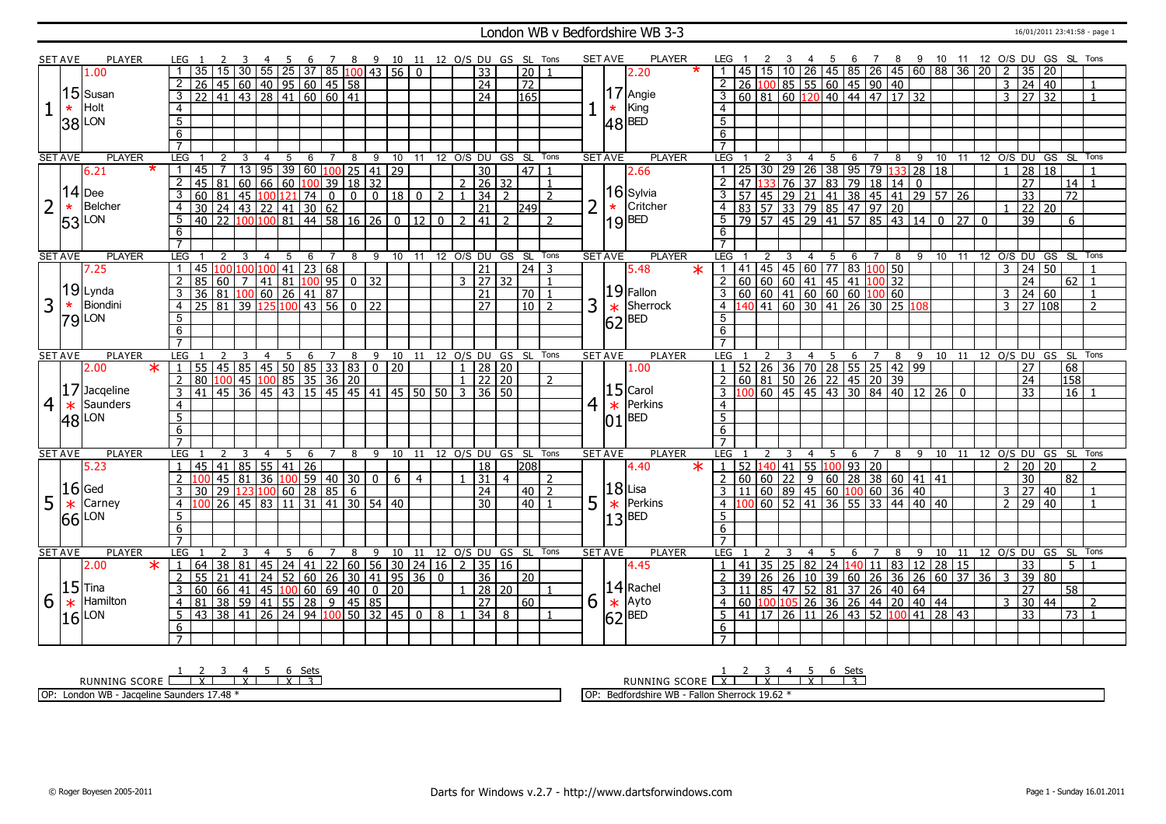### London WB v Bedfordshire WB 3-3 16/01/2011 23:41:58 - page 1

|                 | <b>SET AVE</b> | <b>PLAYER</b>                            | LEG 1           |                                                                                                                                                                                                                                            | -3                    |                |                 | 4 5 6 7 8 9 10 11 12 O/S DU GS SL Tons                                        |                |   |                        |               |                |                         |                |                                   |                |                   |                |                | SET AVE        | <b>PLAYER</b>                                                                                        | LEG 1                                                                                                                                                                                         |      |                | - 3 |                |                  |       |                |                                               |           |  |               |                 |                     | 4 5 6 7 8 9 10 11 12 O/S DU GS SL Tons                                                                                                        |                          |
|-----------------|----------------|------------------------------------------|-----------------|--------------------------------------------------------------------------------------------------------------------------------------------------------------------------------------------------------------------------------------------|-----------------------|----------------|-----------------|-------------------------------------------------------------------------------|----------------|---|------------------------|---------------|----------------|-------------------------|----------------|-----------------------------------|----------------|-------------------|----------------|----------------|----------------|------------------------------------------------------------------------------------------------------|-----------------------------------------------------------------------------------------------------------------------------------------------------------------------------------------------|------|----------------|-----|----------------|------------------|-------|----------------|-----------------------------------------------|-----------|--|---------------|-----------------|---------------------|-----------------------------------------------------------------------------------------------------------------------------------------------|--------------------------|
|                 |                | 1.00                                     |                 |                                                                                                                                                                                                                                            |                       |                |                 |                                                                               |                |   |                        |               |                |                         |                | $\overline{33}$                   |                | $\overline{20}$   |                |                |                | 2.20                                                                                                 |                                                                                                                                                                                               |      |                |     |                |                  |       |                |                                               |           |  | $\sqrt{2}$    |                 | 35 20               |                                                                                                                                               |                          |
|                 |                |                                          |                 |                                                                                                                                                                                                                                            |                       |                |                 |                                                                               |                |   |                        |               |                |                         |                |                                   |                |                   |                |                |                |                                                                                                      |                                                                                                                                                                                               |      |                |     |                |                  |       |                |                                               |           |  |               |                 |                     |                                                                                                                                               |                          |
|                 |                | $15$ Susan                               | $\overline{2}$  |                                                                                                                                                                                                                                            |                       |                |                 |                                                                               |                |   |                        |               |                |                         |                | $\overline{24}$                   |                | 72                |                |                |                |                                                                                                      |                                                                                                                                                                                               |      |                |     |                |                  |       |                |                                               |           |  |               |                 | $3 \ 24 \ 40$       |                                                                                                                                               | $\mathbf{1}$             |
|                 |                |                                          | $\overline{3}$  |                                                                                                                                                                                                                                            |                       |                |                 |                                                                               |                |   |                        |               |                |                         |                | $\overline{24}$                   |                | $\overline{165}$  |                |                |                | $\begin{array}{c} 17 \ \text{\tiny{Angie}} \\ \text{\tiny{*}} \\ 48 \ \text{\tiny{BED}} \end{array}$ |                                                                                                                                                                                               |      |                |     |                |                  |       |                |                                               |           |  |               |                 | $3 \mid 27 \mid 32$ |                                                                                                                                               | $\mathbf{1}$             |
|                 | $\star$        | Holt                                     | 4               |                                                                                                                                                                                                                                            |                       |                |                 |                                                                               |                |   |                        |               |                |                         |                |                                   |                |                   |                |                |                |                                                                                                      | $\overline{4}$                                                                                                                                                                                |      |                |     |                |                  |       |                |                                               |           |  |               |                 |                     |                                                                                                                                               |                          |
|                 |                | 38 LON                                   | $\overline{5}$  |                                                                                                                                                                                                                                            |                       |                |                 |                                                                               |                |   |                        |               |                |                         |                |                                   |                |                   |                |                |                |                                                                                                      | $\overline{5}$                                                                                                                                                                                |      |                |     |                |                  |       |                |                                               |           |  |               |                 |                     |                                                                                                                                               |                          |
|                 |                |                                          | 6               |                                                                                                                                                                                                                                            |                       |                |                 |                                                                               |                |   |                        |               |                |                         |                |                                   |                |                   |                |                |                |                                                                                                      | 6                                                                                                                                                                                             |      |                |     |                |                  |       |                |                                               |           |  |               |                 |                     |                                                                                                                                               |                          |
|                 |                |                                          | $\overline{7}$  |                                                                                                                                                                                                                                            |                       |                |                 |                                                                               |                |   |                        |               |                |                         |                |                                   |                |                   |                |                |                |                                                                                                      | $\overline{7}$                                                                                                                                                                                |      |                |     |                |                  |       |                |                                               |           |  |               |                 |                     |                                                                                                                                               |                          |
|                 | <b>SET AVE</b> | <b>PLAYER</b>                            | LEG             | 2                                                                                                                                                                                                                                          | 3                     | $\overline{4}$ | 5               | 6                                                                             | $\overline{7}$ | 8 | $\overline{9}$         | 10            |                | 11 12 O/S DU GS SL Tons |                |                                   |                |                   |                |                | <b>SET AVE</b> | <b>PLAYER</b>                                                                                        | <b>LEG</b>                                                                                                                                                                                    |      | $\overline{2}$ | 3   | $\overline{4}$ | $\overline{5}$   | 6     |                |                                               |           |  |               |                 |                     | 7 8 9 10 11 12 O/S DU GS SL Tons                                                                                                              |                          |
|                 |                | $\star$<br>6.21                          |                 | 45<br>$\overline{7}$                                                                                                                                                                                                                       |                       |                |                 |                                                                               |                |   |                        |               |                |                         |                | $\overline{30}$                   |                | $47$   1          |                |                |                | 2.66                                                                                                 |                                                                                                                                                                                               |      |                |     |                |                  |       |                |                                               |           |  | $\mathbf{1}$  | 28              | $\overline{18}$     |                                                                                                                                               |                          |
|                 |                |                                          | $\overline{2}$  | 45 81                                                                                                                                                                                                                                      |                       |                |                 | 13   95   39   60   100   25   41   29<br>  60   66   60   100   39   18   32 |                |   |                        |               |                |                         |                | $2 \mid 26 \mid 32$               |                |                   | $\overline{1}$ |                |                |                                                                                                      |                                                                                                                                                                                               |      |                |     |                |                  |       |                |                                               |           |  |               | 27              |                     | 14                                                                                                                                            |                          |
|                 |                | $ 14 $ Dee                               |                 |                                                                                                                                                                                                                                            |                       |                |                 |                                                                               |                |   |                        |               |                |                         |                |                                   |                |                   | $\overline{2}$ |                |                | 16 Sylvia                                                                                            |                                                                                                                                                                                               |      |                |     |                |                  |       |                |                                               |           |  |               |                 |                     | $\overline{72}$                                                                                                                               |                          |
|                 |                |                                          | $\mathbf{3}$    |                                                                                                                                                                                                                                            |                       |                |                 |                                                                               |                |   |                        |               |                |                         |                | $34$   2                          |                |                   |                |                |                | Critcher                                                                                             |                                                                                                                                                                                               |      |                |     |                |                  |       |                |                                               |           |  |               | $\overline{33}$ |                     |                                                                                                                                               |                          |
| 2               | $\star$        | Belcher                                  | 4               |                                                                                                                                                                                                                                            |                       |                |                 |                                                                               |                |   |                        |               |                |                         |                |                                   |                | 249               |                | $\overline{2}$ | $\star$        |                                                                                                      |                                                                                                                                                                                               |      |                |     |                |                  |       |                |                                               |           |  |               |                 | 22 20               |                                                                                                                                               |                          |
|                 |                | 53 LON                                   | 5               |                                                                                                                                                                                                                                            |                       |                |                 |                                                                               |                |   |                        |               |                |                         |                |                                   | $\overline{2}$ |                   | $\overline{z}$ |                |                | $19$ <sup>BED</sup>                                                                                  |                                                                                                                                                                                               |      |                |     |                |                  |       |                |                                               |           |  |               | $\overline{39}$ |                     | 6                                                                                                                                             |                          |
|                 |                |                                          | 6               |                                                                                                                                                                                                                                            |                       |                |                 |                                                                               |                |   |                        |               |                |                         |                |                                   |                |                   |                |                |                |                                                                                                      | 6                                                                                                                                                                                             |      |                |     |                |                  |       |                |                                               |           |  |               |                 |                     |                                                                                                                                               |                          |
|                 |                |                                          | $\overline{7}$  |                                                                                                                                                                                                                                            |                       |                |                 |                                                                               |                |   |                        |               |                |                         |                |                                   |                |                   |                |                |                |                                                                                                      | $\overline{7}$                                                                                                                                                                                |      |                |     |                |                  |       |                |                                               |           |  |               |                 |                     |                                                                                                                                               |                          |
|                 | <b>SETAVE</b>  | <b>PLAYER</b>                            | <b>LEG</b>      | 2                                                                                                                                                                                                                                          | 3                     | $\overline{4}$ | 5               | 6                                                                             |                | 8 | 9                      | $10 \quad 11$ |                | 12 O/S DU GS SL Tons    |                |                                   |                |                   |                |                | <b>SETAVE</b>  | <b>PLAYER</b>                                                                                        | <b>LEG</b>                                                                                                                                                                                    |      |                |     | 4              | 5                | 6     |                |                                               | 8 9 10 11 |  |               |                 |                     | 12 O/S DU GS SL Tons                                                                                                                          |                          |
|                 |                | 7.25                                     |                 | 45 100 100 100 41                                                                                                                                                                                                                          |                       |                |                 | 23 68                                                                         |                |   |                        |               |                |                         |                | $\overline{21}$                   |                | $\overline{24}$ 3 |                |                |                | $\ast$<br>5.48                                                                                       | 1   41   45   45   60   77   83   100   50                                                                                                                                                    |      |                |     |                |                  |       |                |                                               |           |  | 3             |                 | $24 \overline{50}$  |                                                                                                                                               |                          |
|                 |                |                                          | $\overline{2}$  | $\overline{60}$                                                                                                                                                                                                                            | $\overline{7}$        | 41             | $\overline{81}$ | 100950                                                                        |                |   | $\overline{32}$        |               |                |                         |                | $3 \mid 27 \mid 32$               |                |                   |                |                |                |                                                                                                      | $\begin{array}{r rrrrrrr} 2 & 60 & 60 & 60 & 41 & 45 & 41 & 100 & 32 \\ \hline 3 & 60 & 60 & 41 & 60 & 60 & 60 & 100 & 60 \\ 4 & 140 & 41 & 60 & 30 & 41 & 26 & 30 & 25 & 108 \\ \end{array}$ |      |                |     |                |                  |       |                |                                               |           |  |               | $\overline{24}$ |                     | 62                                                                                                                                            |                          |
|                 |                | $19$ Lynda                               | 3               |                                                                                                                                                                                                                                            |                       |                |                 |                                                                               |                |   |                        |               |                |                         |                | $\overline{21}$                   |                | $\overline{70}$   |                |                |                | $ 19 $ Fallon                                                                                        |                                                                                                                                                                                               |      |                |     |                |                  |       |                |                                               |           |  | 3             |                 | 24 60               |                                                                                                                                               | $\overline{1}$           |
| l 3             | $\star$        | Biondini                                 | $\overline{4}$  | $\frac{36}{36}$ $\frac{81}{81}$ $\frac{100}{100}$ 60 26 41 87                                                                                                                                                                              |                       |                |                 |                                                                               |                |   | $\overline{22}$        |               |                |                         |                | $\overline{27}$                   |                | $10$   2          |                | 3              |                | Sherrock                                                                                             |                                                                                                                                                                                               |      |                |     |                |                  |       |                |                                               |           |  |               |                 | $3$   27   108      |                                                                                                                                               | $\mathcal{L}$            |
|                 |                |                                          | 5               |                                                                                                                                                                                                                                            |                       |                |                 |                                                                               |                |   |                        |               |                |                         |                |                                   |                |                   |                |                | $\ast$         |                                                                                                      | 5                                                                                                                                                                                             |      |                |     |                |                  |       |                |                                               |           |  |               |                 |                     |                                                                                                                                               |                          |
|                 |                | $79$ LON                                 |                 |                                                                                                                                                                                                                                            |                       |                |                 |                                                                               |                |   |                        |               |                |                         |                |                                   |                |                   |                |                |                | $62$ <sup>BED</sup>                                                                                  |                                                                                                                                                                                               |      |                |     |                |                  |       |                |                                               |           |  |               |                 |                     |                                                                                                                                               |                          |
|                 |                |                                          | 6               |                                                                                                                                                                                                                                            |                       |                |                 |                                                                               |                |   |                        |               |                |                         |                |                                   |                |                   |                |                |                |                                                                                                      | 6                                                                                                                                                                                             |      |                |     |                |                  |       |                |                                               |           |  |               |                 |                     |                                                                                                                                               |                          |
|                 |                |                                          | $\overline{7}$  |                                                                                                                                                                                                                                            |                       |                |                 |                                                                               |                |   |                        |               |                |                         |                |                                   |                |                   |                |                |                |                                                                                                      | $\overline{7}$                                                                                                                                                                                |      |                |     |                |                  |       |                |                                               |           |  |               |                 |                     |                                                                                                                                               |                          |
|                 | <b>SET AVE</b> | <b>PLAYER</b><br>$\overline{\mathbf{x}}$ | LEG             | 1 2 3 4 5 6 7 8 9 10 11 12<br> 55 45 85 45 50 85 33 83 0 20<br> 80 100 45 100 85 35 36 20<br> 41 45 36 45 43 15 45 45 41 45 50 50                                                                                                          |                       |                |                 |                                                                               |                |   |                        |               |                | 12 O/S DU GS SL Tons    | $\blacksquare$ |                                   |                |                   |                |                | <b>SET AVE</b> | <b>PLAYER</b>                                                                                        | LEG                                                                                                                                                                                           |      |                |     |                |                  |       |                |                                               |           |  |               |                 |                     | 1 2 3 4 5 6 7 8 9 10 11 12 0/5 DU GS SL<br>52 26 36 70 28 55 25 42 99<br>60 81 50 26 22 45 20 39<br>100 60 45 45 43 30 84 40 12 26 0<br>33 16 | Tons                     |
|                 |                | 2.00                                     | $\mathbf{1}$    |                                                                                                                                                                                                                                            |                       |                |                 |                                                                               |                |   |                        |               |                |                         |                | 28 20                             |                |                   |                |                |                | 1.00                                                                                                 | $\overline{1}$                                                                                                                                                                                |      |                |     |                |                  |       |                |                                               |           |  |               |                 |                     |                                                                                                                                               |                          |
|                 |                |                                          | $\overline{2}$  |                                                                                                                                                                                                                                            |                       |                |                 |                                                                               |                |   |                        |               |                |                         |                | $1 \overline{22} \overline{20}$   |                |                   | $\overline{2}$ |                |                |                                                                                                      | $\overline{2}$                                                                                                                                                                                |      |                |     |                |                  |       |                |                                               |           |  |               |                 |                     | 158                                                                                                                                           |                          |
|                 |                | 17 Jacqeline                             | $\overline{3}$  |                                                                                                                                                                                                                                            |                       |                |                 |                                                                               |                |   |                        |               |                |                         |                | $3 \overline{)36} \overline{)50}$ |                |                   |                |                |                | $15$ Carol                                                                                           |                                                                                                                                                                                               |      |                |     |                |                  |       |                |                                               |           |  |               |                 |                     | $16 \mid 1$                                                                                                                                   |                          |
| $\vert 4 \vert$ | $\ast$         | Saunders                                 | $\overline{4}$  |                                                                                                                                                                                                                                            |                       |                |                 |                                                                               |                |   |                        |               |                |                         |                |                                   |                |                   |                | 4              | $\ast$         | Perkins                                                                                              | $\overline{4}$                                                                                                                                                                                |      |                |     |                |                  |       |                |                                               |           |  |               |                 |                     |                                                                                                                                               |                          |
|                 |                | $ 48 $ LON                               | $\overline{5}$  |                                                                                                                                                                                                                                            |                       |                |                 |                                                                               |                |   |                        |               |                |                         |                |                                   |                |                   |                |                |                |                                                                                                      |                                                                                                                                                                                               |      |                |     |                |                  |       |                |                                               |           |  |               |                 |                     |                                                                                                                                               |                          |
|                 |                |                                          | 6               |                                                                                                                                                                                                                                            |                       |                |                 |                                                                               |                |   |                        |               |                |                         |                |                                   |                |                   |                |                |                | <b>BED</b>                                                                                           | $\overline{5}$                                                                                                                                                                                |      |                |     |                |                  |       |                |                                               |           |  |               |                 |                     |                                                                                                                                               |                          |
|                 |                |                                          |                 |                                                                                                                                                                                                                                            |                       |                |                 |                                                                               |                |   |                        |               |                |                         |                |                                   |                |                   |                |                | 01             |                                                                                                      | 6                                                                                                                                                                                             |      |                |     |                |                  |       |                |                                               |           |  |               |                 |                     |                                                                                                                                               |                          |
| <b>SET AVE</b>  |                |                                          |                 |                                                                                                                                                                                                                                            |                       |                |                 |                                                                               |                |   |                        |               |                |                         |                |                                   |                |                   |                |                |                |                                                                                                      |                                                                                                                                                                                               |      |                |     |                |                  |       |                |                                               |           |  |               |                 |                     |                                                                                                                                               |                          |
|                 |                | <b>PLAYER</b>                            | LEG             |                                                                                                                                                                                                                                            | $\overline{3}$        | $\overline{4}$ | 5               | 6                                                                             | $\overline{7}$ | 8 | 9                      | 10            |                | 11 12 0/S DU GS SL      |                |                                   |                |                   | Tons           |                | <b>SET AVE</b> | <b>PLAYER</b>                                                                                        | <b>LEG</b>                                                                                                                                                                                    |      |                |     |                | $4 \overline{5}$ | 6     | $\overline{7}$ | 8                                             |           |  |               |                 |                     | 9 10 11 12 0/S DU GS SL Tons                                                                                                                  |                          |
|                 |                | 5.23                                     |                 | $145$   41   85   55   41   26                                                                                                                                                                                                             |                       |                |                 |                                                                               |                |   |                        |               |                |                         |                | 18                                |                | 208               |                |                |                | 4.40                                                                                                 | $\mathbf{1}$                                                                                                                                                                                  | 52 1 | $140$ 41       |     |                | 55 100           |       |                |                                               |           |  |               |                 | 2   20   20         |                                                                                                                                               | $\overline{2}$           |
|                 |                |                                          |                 |                                                                                                                                                                                                                                            |                       |                |                 |                                                                               |                |   |                        |               |                |                         |                |                                   | $\overline{4}$ |                   | 2              |                |                |                                                                                                      |                                                                                                                                                                                               |      |                |     |                |                  | 93 20 |                |                                               |           |  |               |                 |                     | 82                                                                                                                                            |                          |
|                 |                |                                          |                 |                                                                                                                                                                                                                                            | 45 81 36 100 59 40 30 |                |                 |                                                                               |                |   | $\overline{0}$         | 6             | $\overline{4}$ |                         |                | 31                                |                |                   |                |                |                |                                                                                                      | 2   60   60   22                                                                                                                                                                              |      |                |     |                |                  |       |                | 9   60   28   38   60   41   41               |           |  |               | 30              |                     |                                                                                                                                               |                          |
|                 |                | $16$ Ged                                 | $\overline{3}$  | 30 29 123 100 60 28 85 6                                                                                                                                                                                                                   |                       |                |                 |                                                                               |                |   |                        |               |                |                         |                | 24                                |                | $40$   2          |                |                | 18             | Lisa                                                                                                 | $3   11   60   89   45   60   100   60   36   40$                                                                                                                                             |      |                |     |                |                  |       |                |                                               |           |  |               |                 | $3 \mid 27 \mid 40$ |                                                                                                                                               | $\mathbf{1}$             |
| 5               | $\ast$         | Carney                                   | $\overline{4}$  |                                                                                                                                                                                                                                            | $126$ 45 83           |                | l 11            |                                                                               |                |   | 31   41   30   54   40 |               |                |                         |                | $\overline{30}$                   |                | 40                |                | 5              | $\ast$         | Perkins                                                                                              | 4 1                                                                                                                                                                                           |      |                |     |                |                  |       |                | 100 60 52 41 36 55 33 44 40 40                |           |  | $\mathcal{P}$ | 29              | 40                  |                                                                                                                                               |                          |
|                 | 66             | LON                                      | 5               |                                                                                                                                                                                                                                            |                       |                |                 |                                                                               |                |   |                        |               |                |                         |                |                                   |                |                   |                |                | 13             | <b>BED</b>                                                                                           | 5 <sup>5</sup>                                                                                                                                                                                |      |                |     |                |                  |       |                |                                               |           |  |               |                 |                     |                                                                                                                                               |                          |
|                 |                |                                          | 6               |                                                                                                                                                                                                                                            |                       |                |                 |                                                                               |                |   |                        |               |                |                         |                |                                   |                |                   |                |                |                |                                                                                                      | 6                                                                                                                                                                                             |      |                |     |                |                  |       |                |                                               |           |  |               |                 |                     |                                                                                                                                               |                          |
|                 |                |                                          | $\overline{7}$  |                                                                                                                                                                                                                                            |                       |                |                 |                                                                               |                |   |                        |               |                |                         |                |                                   |                |                   |                |                |                |                                                                                                      | $\overline{7}$                                                                                                                                                                                |      |                |     |                |                  |       |                |                                               |           |  |               |                 |                     |                                                                                                                                               |                          |
|                 | <b>SET AVE</b> | PLAYER                                   | LEG 1           |                                                                                                                                                                                                                                            |                       |                |                 |                                                                               |                |   |                        |               |                |                         |                |                                   |                |                   |                |                | <b>SET AVE</b> | <b>PLAYER</b>                                                                                        | LEG 1                                                                                                                                                                                         |      |                |     | $\overline{4}$ | - 5              | - 6   | 7 8            |                                               |           |  |               |                 |                     | 9 10 11 12 O/S DU GS SL Tons                                                                                                                  |                          |
|                 |                | $\ast$<br>2.00                           | $\vert 1 \vert$ |                                                                                                                                                                                                                                            |                       |                |                 |                                                                               |                |   |                        |               |                |                         |                |                                   |                |                   |                |                |                | 4.45                                                                                                 | $\sqrt{1}$                                                                                                                                                                                    |      |                |     |                |                  |       |                |                                               |           |  |               | 33              |                     | 5 <sup>1</sup>                                                                                                                                |                          |
|                 |                |                                          | $\overline{2}$  |                                                                                                                                                                                                                                            |                       |                |                 |                                                                               |                |   |                        |               |                |                         |                |                                   |                |                   |                |                |                |                                                                                                      | 1 41 35 25 82 24 140 11 83 12 28 15<br>2 39 26 26 10 39 60 26 36 26 60 37                                                                                                                     |      |                |     |                |                  |       |                |                                               |           |  | $36 \mid 3$   |                 | 39 80               |                                                                                                                                               |                          |
|                 |                | $ 15 $ Tina                              | 3               |                                                                                                                                                                                                                                            |                       |                |                 |                                                                               |                |   |                        |               |                |                         |                |                                   |                |                   |                |                |                | $ 14 $ Rachel                                                                                        |                                                                                                                                                                                               |      |                |     |                |                  |       |                |                                               |           |  |               | 27              |                     | 58                                                                                                                                            |                          |
| 6               | $\ast$         | Hamilton                                 | $\overline{4}$  |                                                                                                                                                                                                                                            |                       |                |                 |                                                                               |                |   |                        |               |                |                         |                |                                   |                |                   |                |                |                | Ayto                                                                                                 |                                                                                                                                                                                               |      |                |     |                |                  |       |                |                                               |           |  | 3             |                 | 30   44             |                                                                                                                                               | $\overline{\phantom{a}}$ |
|                 |                |                                          | $5^{\circ}$     |                                                                                                                                                                                                                                            |                       |                |                 |                                                                               |                |   |                        |               |                |                         |                |                                   |                |                   |                | 6              |                |                                                                                                      |                                                                                                                                                                                               |      |                |     |                |                  |       |                | $\frac{1}{41}$ 17 26 11 26 43 52 100 41 28 43 |           |  |               | $\overline{33}$ |                     | $\overline{73}$                                                                                                                               |                          |
|                 |                | $ 16 $ LON                               | 6               | 1 2 3 4 5 6 7 8 9 10 11 12 0/5 DU GS SL TOns<br>164 38 81 45 24 41 22 60 56 30 24 16 2 35 16<br>165 21 41 24 52 60 26 30 41 95 36 0 36 20<br>160 66 41 45 100 60 69 40 0 20<br>1 28 20 1<br>181 38 59 41 55 28 9 45 85<br>43 38 41 26 24 9 |                       |                |                 |                                                                               |                |   |                        |               |                |                         |                |                                   |                |                   |                |                |                | $\begin{array}{c} \ast \\ 62 \end{array}$ BED                                                        | 6                                                                                                                                                                                             |      |                |     |                |                  |       |                |                                               |           |  |               |                 |                     |                                                                                                                                               |                          |

RUNNING SCORE <u>| X | X | X | 3</u><br>RUNNING SCORE <u>| X | X | X | X | 3</u> OP: London WB - Jacqeline Saunders 17.48 \*

RUNNING SCORE 1 X 2 3 X 4 5 X 6 Sets 3 OP: Bedfordshire WB - Fallon Sherrock 19.62 \*